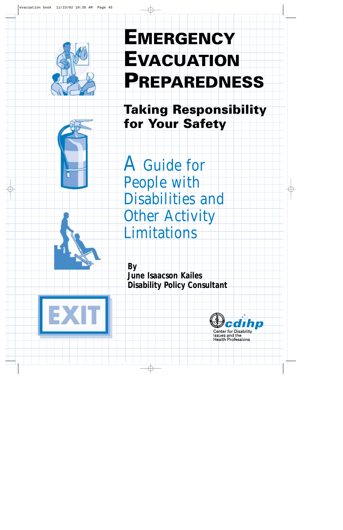

# **EMERGENCY EVACUATION PREPAREDNESS**

**Taking Responsibility for Your Safety** 

A Guide for People with Disabilities and **Other Activity** Limitations

**By June Isaacson Kailes Disability Policy Consultant**





Issues and the **Health Professions**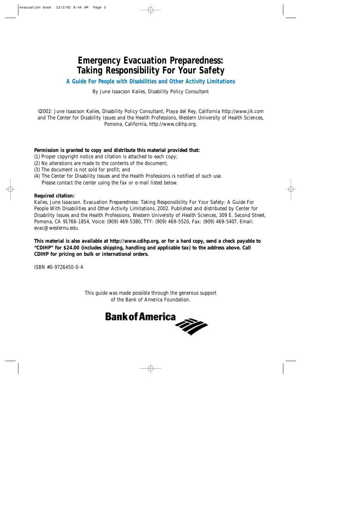### **Emergency Evacuation Preparedness: Taking Responsibility For Your Safety**

**A Guide For People with Disabilities and Other Activity Limitations**

By June Isaacson Kailes, Disability Policy Consultant

©2002: June Isaacson Kailes, Disability Policy Consultant, Playa del Rey, California http://www.jik.com and The Center for Disability Issues and the Health Professions, Western University of Health Sciences, Pomona, California, http://www.cdihp.org.

### **Permission is granted to copy and distribute this material provided that:**

- (1) Proper copyright notice and citation is attached to each copy;
- (2) No alterations are made to the contents of the document;
- (3) The document is not sold for profit; and
- (4) The Center for Disability Issues and the Health Professions is notified of such use. Please contact the center using the fax or e-mail listed below.

### **Required citation:**

Kailes, June Isaacson. Evacuation Preparedness: Taking Responsibility For Your Safety: A Guide For People With Disabilities and Other Activity Limitations, 2002. Published and distributed by Center for Disability Issues and the Health Professions, Western University of Health Sciences, 309 E. Second Street, Pomona, CA 91766-1854, Voice: (909) 469-5380, TTY: (909) 469-5520, Fax: (909) 469-5407, Email: evac@westernu.edu.

**This material is also available at http://www.cdihp.org, or for a hard copy, send a check payable to "CDIHP" for \$24.00 (includes shipping, handling and applicable tax) to the address above. Call CDIHP for pricing on bulk or international orders.**

ISBN #0-9726450-0-4

This guide was made possible through the generous support of the Bank of America Foundation.

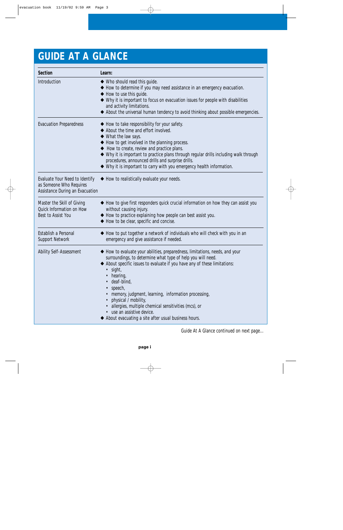## **GUIDE AT A GLANCE**

| Section                                                                                      | Learn:                                                                                                                                                                                                                                                                                                                                                                                                                                                                                                               |
|----------------------------------------------------------------------------------------------|----------------------------------------------------------------------------------------------------------------------------------------------------------------------------------------------------------------------------------------------------------------------------------------------------------------------------------------------------------------------------------------------------------------------------------------------------------------------------------------------------------------------|
| Introduction                                                                                 | ◆ Who should read this quide.<br>◆ How to determine if you may need assistance in an emergency evacuation.<br>◆ How to use this guide.<br>◆ Why it is important to focus on evacuation issues for people with disabilities<br>and activity limitations.<br>◆ About the universal human tendency to avoid thinking about possible emergencies.                                                                                                                                                                        |
| <b>Evacuation Preparedness</b>                                                               | ◆ How to take responsibility for your safety.<br>◆ About the time and effort involved.<br>◆ What the law says.<br>◆ How to get involved in the planning process.<br>◆ How to create, review and practice plans.<br>◆ Why it is important to practice plans through regular drills including walk through<br>procedures, announced drills and surprise drills.<br>◆ Why it is important to carry with you emergency health information.                                                                               |
| Evaluate Your Need to Identify<br>as Someone Who Requires<br>Assistance During an Evacuation | ◆ How to realistically evaluate your needs.                                                                                                                                                                                                                                                                                                                                                                                                                                                                          |
| Master the Skill of Giving<br>Quick Information on How<br>Best to Assist You                 | ◆ How to give first responders quick crucial information on how they can assist you<br>without causing injury.<br>◆ How to practice explaining how people can best assist you.<br>◆ How to be clear, specific and concise.                                                                                                                                                                                                                                                                                           |
| Establish a Personal<br>Support Network                                                      | How to put together a network of individuals who will check with you in an<br>emergency and give assistance if needed.                                                                                                                                                                                                                                                                                                                                                                                               |
| <b>Ability Self-Assessment</b>                                                               | How to evaluate your abilities, preparedness, limitations, needs, and your<br>surroundings, to determine what type of help you will need.<br>About specific issues to evaluate if you have any of these limitations:<br>$\bullet$ sight,<br>hearing,<br>deaf-blind,<br>$\bullet$ speech,<br>memory, judgment, learning, information processing,<br>physical / mobility,<br>allergies, multiple chemical sensitivities (mcs), or<br>• use an assistive device.<br>About evacuating a site after usual business hours. |

Guide At A Glance continued on next page…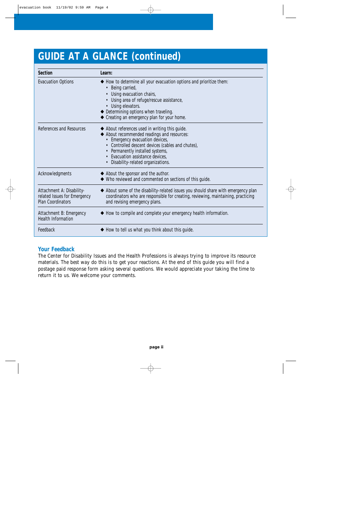## **GUIDE AT A GLANCE (continued)**

| Section                                                                               | Learn:                                                                                                                                                                                                                                                                                         |
|---------------------------------------------------------------------------------------|------------------------------------------------------------------------------------------------------------------------------------------------------------------------------------------------------------------------------------------------------------------------------------------------|
| <b>Evacuation Options</b>                                                             | ◆ How to determine all your evacuation options and prioritize them:<br>• Being carried,<br>• Using evacuation chairs,<br>• Using area of refuge/rescue assistance,<br>• Using elevators.<br>◆ Determining options when traveling.<br>Creating an emergency plan for your home.                 |
| References and Resources                                                              | ◆ About references used in writing this guide.<br>About recommended readings and resources:<br>Emergency evacuation devices,<br>• Controlled descent devices (cables and chutes),<br>• Permanently installed systems,<br>• Evacuation assistance devices,<br>Disability-related organizations. |
| Acknowledgments                                                                       | ◆ About the sponsor and the author.<br>Who reviewed and commented on sections of this guide.                                                                                                                                                                                                   |
| Attachment A: Disability-<br>related Issues for Emergency<br><b>Plan Coordinators</b> | ◆ About some of the disability-related issues you should share with emergency plan<br>coordinators who are responsible for creating, reviewing, maintaining, practicing<br>and revising emergency plans.                                                                                       |
| Attachment B: Emergency<br><b>Health Information</b>                                  | ◆ How to compile and complete your emergency health information.                                                                                                                                                                                                                               |
| Feedback                                                                              | $\blacklozenge$ How to tell us what you think about this guide.                                                                                                                                                                                                                                |

### **Your Feedback**

The Center for Disability Issues and the Health Professions is always trying to improve its resource materials. The best way do this is to get your reactions. At the end of this guide you will find a postage paid response form asking several questions. We would appreciate your taking the time to return it to us. We welcome your comments.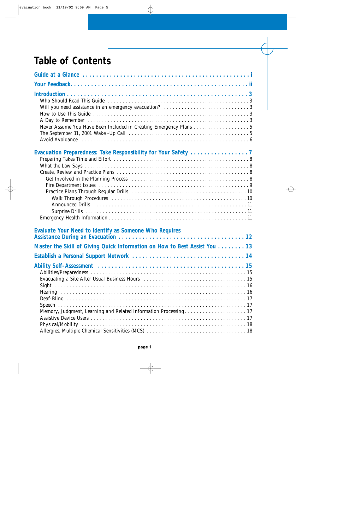## **Table of Contents**

| Never Assume You Have Been Included in Creating Emergency Plans 5                                                                   |
|-------------------------------------------------------------------------------------------------------------------------------------|
| The September 11, 2001 Wake -Up Call $\ldots \ldots \ldots \ldots \ldots \ldots \ldots \ldots \ldots \ldots \ldots \ldots \ldots 5$ |
|                                                                                                                                     |
| Evaluate Your Need to Identify as Someone Who Requires                                                                              |
| Master the Skill of Giving Quick Information on How to Best Assist You 13                                                           |
|                                                                                                                                     |
|                                                                                                                                     |
|                                                                                                                                     |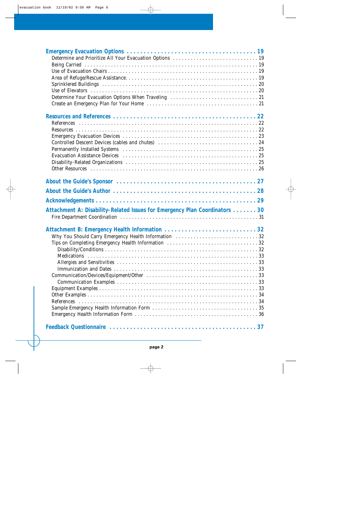| Attachment A: Disability-Related Issues for Emergency Plan Coordinators 30 |  |
|----------------------------------------------------------------------------|--|
| Why You Should Carry Emergency Health Information 32                       |  |
|                                                                            |  |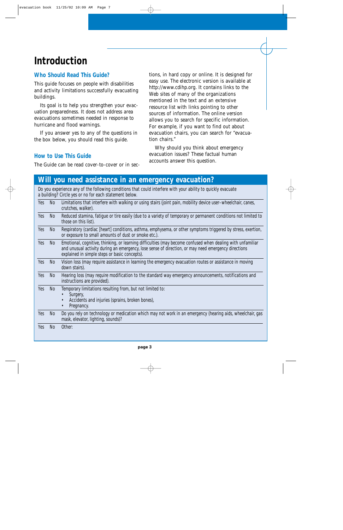## **Introduction**

### **Who Should Read This Guide?**

This guide focuses on people with disabilities and activity limitations successfully evacuating buildings.

Its goal is to help you strengthen your evacuation preparedness. It does not address area evacuations sometimes needed in response to hurricane and flood warnings.

If you answer yes to any of the questions in the box below, you should read this guide.

tions, in hard copy or online. It is designed for easy use. The electronic version is available at http://www.cdihp.org. It contains links to the Web sites of many of the organizations mentioned in the text and an extensive resource list with links pointing to other sources of information. The online version allows you to search for specific information. For example, if you want to find out about evacuation chairs, you can search for "evacuation chairs."

Why should you think about emergency evacuation issues? These factual human accounts answer this question.

### **How to Use This Guide**

The Guide can be read cover-to-cover or in sec-

### **Will you need assistance in an emergency evacuation?**

Do you experience any of the following conditions that could interfere with your ability to quickly evacuate a building? Circle yes or no for each statement below. Yes No Limitations that interfere with walking or using stairs (joint pain, mobility device user–wheelchair, canes, crutches, walker).

| Yes | <b>No</b>      | Reduced stamina, fatique or tire easily (due to a variety of temporary or permanent conditions not limited to<br>those on this list). |
|-----|----------------|---------------------------------------------------------------------------------------------------------------------------------------|
| Y≙c | N <sub>0</sub> | Respiratory (cardiac [beart] conditions asthma emphysema or other symptoms triggered by stress exection                               |

Respiratory (cardiac [heart] conditions, astrima, empriysema, or other symptoms trigge or exposure to small amounts of dust or smoke etc.).

Yes No Emotional, cognitive, thinking, or learning difficulties (may become confused when dealing with unfamiliar and unusual activity during an emergency, lose sense of direction, or may need emergency directions explained in simple steps or basic concepts).

Yes No Vision loss (may require assistance in learning the emergency evacuation routes or assistance in moving down stairs).

Yes No Hearing loss (may require modification to the standard way emergency announcements, notifications and instructions are provided).

- Yes No Temporary limitations resulting from, but not limited to:
	- Surgery,
		- Accidents and injuries (sprains, broken bones),

Pregnancy.

Yes No Do you rely on technology or medication which may not work in an emergency (hearing aids, wheelchair, gas mask, elevator, lighting, sounds)?

Yes No Other: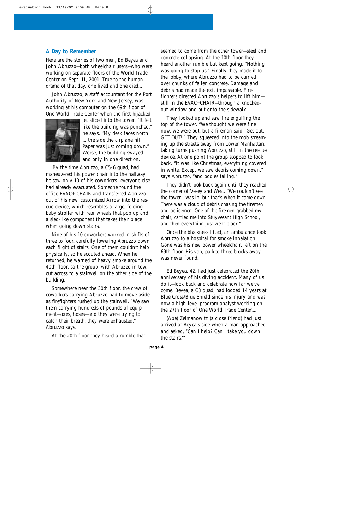### **A Day to Remember**

Here are the stories of two men, Ed Beyea and John Abruzzo—both wheelchair users—who were working on separate floors of the World Trade Center on Sept. 11, 2001. True to the human drama of that day, one lived and one died...

John Abruzzo, a staff accountant for the Port Authority of New York and New Jersey, was working at his computer on the 69th floor of One World Trade Center when the first hijacked



jet sliced into the tower. "It felt like the building was punched," he says. "My desk faces north ... the side the airplane hit. Paper was just coming down." Worse, the building swayed and only in one direction.

By the time Abruzzo, a C5-6 quad, had maneuvered his power chair into the hallway, he saw only 10 of his coworkers—everyone else had already evacuated. Someone found the office EVAC+ CHAIR and transferred Abruzzo out of his new, customized Arrow into the rescue device, which resembles a large, folding baby stroller with rear wheels that pop up and a sled-like component that takes their place when going down stairs.

Nine of his 10 coworkers worked in shifts of three to four, carefully lowering Abruzzo down each flight of stairs. One of them couldn't help physically, so he scouted ahead. When he returned, he warned of heavy smoke around the 40th floor, so the group, with Abruzzo in tow, cut across to a stairwell on the other side of the building.

Somewhere near the 30th floor, the crew of coworkers carrying Abruzzo had to move aside as firefighters rushed up the stairwell. "We saw them carrying hundreds of pounds of equipment—axes, hoses—and they were trying to catch their breath, they were exhausted," Abruzzo says.

At the 20th floor they heard a rumble that

seemed to come from the other tower—steel and concrete collapsing. At the 10th floor they heard another rumble but kept going. "Nothing was going to stop us." Finally they made it to the lobby, where Abruzzo had to be carried over chunks of fallen concrete. Damage and debris had made the exit impassable. Firefighters directed Abruzzo's helpers to lift him still in the EVAC+CHAIR—through a knockedout window and out onto the sidewalk.

They looked up and saw fire engulfing the top of the tower. "We thought we were fine now, we were out, but a fireman said, 'Get out, GET OUT!'" They squeezed into the mob streaming up the streets away from Lower Manhattan, taking turns pushing Abruzzo, still in the rescue device. At one point the group stopped to look back. "It was like Christmas, everything covered in white. Except we saw debris coming down," says Abruzzo, "and bodies falling."

They didn't look back again until they reached the corner of Vesey and West. "We couldn't see the tower I was in, but that's when it came down. There was a cloud of debris chasing the firemen and policemen. One of the firemen grabbed my chair, carried me into Stuyvesant High School, and then everything just went black."

Once the blackness lifted, an ambulance took Abruzzo to a hospital for smoke inhalation. Gone was his new power wheelchair, left on the 69th floor. His van, parked three blocks away, was never found.

Ed Beyea, 42, had just celebrated the 20th anniversary of his diving accident. Many of us do it—look back and celebrate how far we've come. Beyea, a C3 quad, had logged 14 years at Blue Cross/Blue Shield since his injury and was now a high-level program analyst working on the 27th floor of One World Trade Center....

(Abe) Zelmanowitz (a close friend) had just arrived at Beyea's side when a man approached and asked, "Can I help? Can I take you down the stairs?"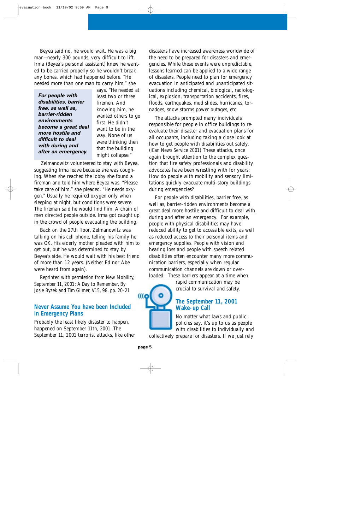Beyea said no, he would wait. He was a big man—nearly 300 pounds, very difficult to lift. Irma (Beyea's personal assistant) knew he wanted to be carried properly so he wouldn't break any bones, which had happened before. "He needed more than one man to carry him," she

|                       | 5d)  |
|-----------------------|------|
| For people with       | lea  |
| disabilities, barrier | fir  |
| free, as well as,     | kn   |
| barrier-ridden        | wa   |
| environments          | fir: |
| become a great deal   | wa   |
| more hostile and      | wa   |
| difficult to deal     | we   |
| with during and       | tha  |
| after an emergency.   | mi   |
|                       |      |

says. "He needed at ist two or three emen. And owing him, he wanted others to go st. He didn't want to be in the y. None of us re thinking then at the building might collapse."

Zelmanowitz volunteered to stay with Beyea, suggesting Irma leave because she was coughing. When she reached the lobby she found a fireman and told him where Beyea was. "Please take care of him," she pleaded. "He needs oxygen." Usually he required oxygen only when sleeping at night, but conditions were severe. The fireman said he would find him. A chain of men directed people outside. Irma got caught up in the crowd of people evacuating the building.

Back on the 27th floor, Zelmanowitz was talking on his cell phone, telling his family he was OK. His elderly mother pleaded with him to get out, but he was determined to stay by Beyea's side. He would wait with his best friend of more than 12 years. (Neither Ed nor Abe were heard from again).

Reprinted with permission from New Mobility, September 11, 2001: A Day to Remember, By Josie Byzek and Tim Gilmer, V15, 98. pp. 20-21

### **Never Assume You have been Included in Emergency Plans**

Probably the least likely disaster to happen, happened on September 11th, 2001. The September 11, 2001 terrorist attacks, like other

disasters have increased awareness worldwide of the need to be prepared for disasters and emergencies. While these events were unpredictable, lessons learned can be applied to a wide range of disasters. People need to plan for emergency evacuation in anticipated and unanticipated situations including chemical, biological, radiological, explosion, transportation accidents, fires, floods, earthquakes, mud slides, hurricanes, tornadoes, snow storms power outages, etc.

The attacks prompted many individuals responsible for people in office buildings to reevaluate their disaster and evacuation plans for all occupants, including taking a close look at how to get people with disabilities out safely. (iCan News Service 2001) These attacks, once again brought attention to the complex question that fire safety professionals and disability advocates have been wrestling with for years: How do people with mobility and sensory limitations quickly evacuate multi-story buildings during emergencies?

For people with disabilities, barrier free, as well as, barrier-ridden environments become a great deal more hostile and difficult to deal with during and after an emergency. For example, people with physical disabilities may have reduced ability to get to accessible exits, as well as reduced access to their personal items and emergency supplies. People with vision and hearing loss and people with speech related disabilities often encounter many more communication barriers, especially when regular communication channels are down or overloaded. These barriers appear at a time when

rapid communication may be crucial to survival and safety.

### **The September 11, 2001 Wake-up Call**

No matter what laws and public policies say, it's up to us as people with disabilities to individually and

collectively prepare for disasters. If we just rely

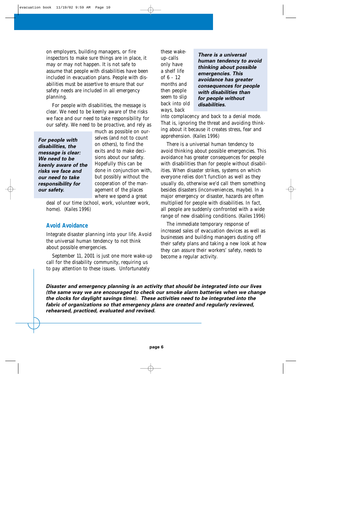on employers, building managers, or fire inspectors to make sure things are in place, it may or may not happen. It is not safe to assume that people with disabilities have been included in evacuation plans. People with disabilities must be assertive to ensure that our safety needs are included in all emergency planning.

For people with disabilities, the message is clear. We need to be keenly aware of the risks we face and our need to take responsibility for our safety. We need to be proactive, and rely as

much as possible on our-

| For people with     | selves (and not to count  |
|---------------------|---------------------------|
| disabilities, the   | on others), to find the   |
| message is clear:   | exits and to make deci-   |
| We need to be       | sions about our safety.   |
| keenly aware of the | Hopefully this can be     |
| risks we face and   | done in conjunction with, |
| our need to take    | but possibly without the  |
| responsibility for  | cooperation of the man-   |
| our safety.         | agement of the places     |
|                     | where we spend a great    |

deal of our time (school, work, volunteer work, home). (Kailes 1996)

#### **Avoid Avoidance**

Integrate disaster planning into your life. Avoid the universal human tendency to not think about possible emergencies.

September 11, 2001 is just one more wake-up call for the disability community, requiring us to pay attention to these issues. Unfortunately

these wakeup-calls only have a shelf life of 6 - 12 months and then people seem to slip back into old ways, back

*There is a universal human tendency to avoid thinking about possible emergencies. This avoidance has greater consequences for people with disabilities than for people without disabilities.*

into complacency and back to a denial mode. That is, ignoring the threat and avoiding thinking about it because it creates stress, fear and apprehension. (Kailes 1996)

There is a universal human tendency to avoid thinking about possible emergencies. This avoidance has greater consequences for people with disabilities than for people without disabilities. When disaster strikes, systems on which everyone relies don't function as well as they usually do, otherwise we'd call them something besides disasters (inconveniences, maybe). In a major emergency or disaster, hazards are often multiplied for people with disabilities. In fact, all people are suddenly confronted with a wide range of new disabling conditions. (Kailes 1996)

The immediate temporary response of increased sales of evacuation devices as well as businesses and building managers dusting off their safety plans and taking a new look at how they can assure their workers' safety, needs to become a regular activity.

*Disaster and emergency planning is an activity that should be integrated into our lives (the same way we are encouraged to check our smoke alarm batteries when we change the clocks for daylight savings time). These activities need to be integrated into the fabric of organizations so that emergency plans are created and regularly reviewed, rehearsed, practiced, evaluated and revised.*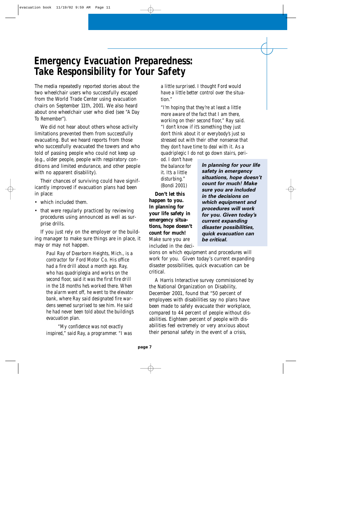## **Emergency Evacuation Preparedness: Take Responsibility for Your Safety**

The media repeatedly reported stories about the two wheelchair users who successfully escaped from the World Trade Center using evacuation chairs on September 11th, 2001. We also heard about one wheelchair user who died (see "A Day To Remember").

We did not hear about others whose activity limitations prevented them from successfully evacuating. But we heard reports from those who successfully evacuated the towers and who told of passing people who could not keep up (e.g., older people, people with respiratory conditions and limited endurance, and other people with no apparent disability).

Their chances of surviving could have significantly improved if evacuation plans had been in place:

- which included them.
- that were regularly practiced by reviewing procedures using announced as well as surprise drills.

If you just rely on the employer or the building manager to make sure things are in place, it may or may not happen.

> *Paul Ray of Dearborn Heights, Mich., is a contractor for Ford Motor Co. His office had a fire drill about a month ago. Ray, who has quadriplegia and works on the second floor, said it was the first fire drill in the 18 months he's worked there. When the alarm went off, he went to the elevator bank, where Ray said designated fire wardens seemed surprised to see him. He said he had never been told about the building's evacuation plan.*

*"My confidence was not exactly inspired," said Ray, a programmer. "I was* *a little surprised. I thought Ford would have a little better control over the situation."* 

*"I'm hoping that they're at least a little more aware of the fact that I am there, working on their second floor," Ray said. "I don't know if it's something they just don't think about it or everybody's just so stressed out with their other nonsense that they don't have time to deal with it. As a quadriplegic I do not go down stairs, peri-*

*od. I don't have the balance for it. It's a little disturbing."* (Bondi 2001)

**Don't let this happen to you. In planning for your life safety in emergency situations, hope doesn't count for much!** Make sure you are included in the deci*In planning for your life safety in emergency situations, hope doesn't count for much! Make sure you are included in the decisions on which equipment and procedures will work for you. Given today's current expanding disaster possibilities, quick evacuation can be critical.*

sions on which equipment and procedures will work for you. Given today's current expanding disaster possibilities, quick evacuation can be critical.

A Harris Interactive survey commissioned by the National Organization on Disability, December 2001, found that "50 percent of employees with disabilities say no plans have been made to safely evacuate their workplace, compared to 44 percent of people without disabilities. Eighteen percent of people with disabilities feel extremely or very anxious about their personal safety in the event of a crisis,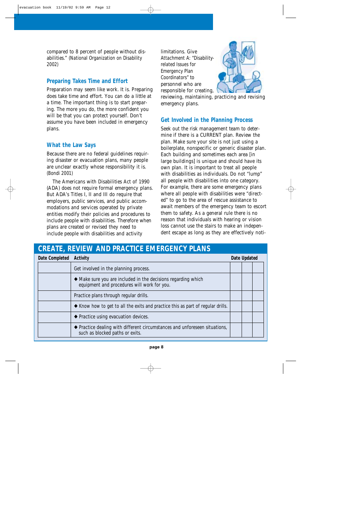compared to 8 percent of people without disabilities." (National Organization on Disability 2002)

### **Preparing Takes Time and Effort**

Preparation may seem like work. It is. Preparing does take time and effort. You can do a little at a time. The important thing is to start preparing. The more you do, the more confident you will be that you can protect yourself. Don't assume you have been included in emergency plans.

### **What the Law Says**

Because there are no federal guidelines requiring disaster or evacuation plans, many people are unclear exactly whose responsibility it is. (Bondi 2001)

The Americans with Disabilities Act of 1990 (ADA) does not require formal emergency plans. But ADA's Titles I, II and III do require that employers, public services, and public accommodations and services operated by private entities modify their policies and procedures to include people with disabilities. Therefore when plans are created or revised they need to include people with disabilities and activity

limitations. Give Attachment A: "Disabilityrelated Issues for Emergency Plan Coordinators" to personnel who are responsible for creating,



reviewing, maintaining, practicing and revising emergency plans.

### **Get Involved in the Planning Process**

Seek out the risk management team to determine if there is a CURRENT plan. Review the plan. Make sure your site is not just using a boilerplate, nonspecific or generic disaster plan. Each building and sometimes each area [in large buildings] is unique and should have its own plan. It is important to treat all people with disabilities as individuals. Do not "lump" all people with disabilities into one category. For example, there are some emergency plans where all people with disabilities were "directed" to go to the area of rescue assistance to await members of the emergency team to escort them to safety. As a general rule there is no reason that individuals with hearing or vision loss cannot use the stairs to make an independent escape as long as they are effectively noti-

### **CREATE, REVIEW AND PRACTICE EMERGENCY PLANS**

| Date Completed | Activity                                                                                                      | Date Updated |  |
|----------------|---------------------------------------------------------------------------------------------------------------|--------------|--|
|                | Get involved in the planning process.                                                                         |              |  |
|                | • Make sure you are included in the decisions regarding which<br>equipment and procedures will work for you.  |              |  |
|                | Practice plans through regular drills.                                                                        |              |  |
|                | ♦ Know how to get to all the exits and practice this as part of regular drills.                               |              |  |
|                | ◆ Practice using evacuation devices.                                                                          |              |  |
|                | ◆ Practice dealing with different circumstances and unforeseen situations,<br>such as blocked paths or exits. |              |  |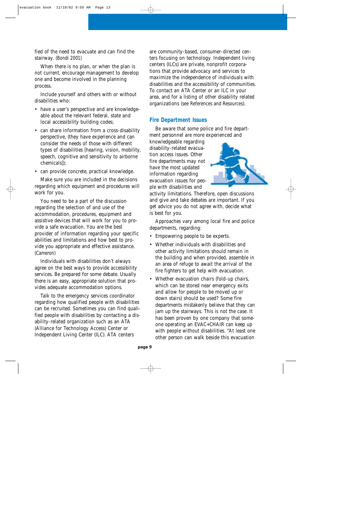fied of the need to evacuate and can find the stairway. (Bondi 2001)

When there is no plan, or when the plan is not current, encourage management to develop one and become involved in the planning process.

Include yourself and others with or without disabilities who:

- have a user's perspective and are knowledgeable about the relevant federal, state and local accessibility building codes;
- can share information from a cross-disability perspective, (they have experience and can consider the needs of those with different types of disabilities [hearing, vision, mobility, speech, cognitive and sensitivity to airborne chemicals]);
- can provide concrete, practical knowledge.

Make sure you are included in the decisions regarding which equipment and procedures will work for you.

You need to be a part of the discussion regarding the selection of and use of the accommodation, procedures, equipment and assistive devices that will work for you to provide a safe evacuation. You are the best provider of information regarding your specific abilities and limitations and how best to provide you appropriate and effective assistance. (Cameron)

Individuals with disabilities don't always agree on the best ways to provide accessibility services. Be prepared for some debate. Usually there is an easy, appropriate solution that provides adequate accommodation options.

Talk to the emergency services coordinator regarding how qualified people with disabilities can be recruited. Sometimes you can find qualified people with disabilities by contacting a disability-related organization such as an ATA (Alliance for Technology Access) Center or Independent Living Center (ILC). ATA centers

are community-based, consumer-directed centers focusing on technology. Independent living centers (ILCs) are private, nonprofit corporations that provide advocacy and services to maximize the independence of individuals with disabilities and the accessibility of communities. To contact an ATA Center or an ILC in your area, and for a listing of other disability related organizations (see References and Resources).

### **Fire Department Issues**

Be aware that some police and fire department personnel are more experienced and

knowledgeable regarding disability-related evacuation access issues. Other fire departments may not have the most updated information regarding evacuation issues for people with disabilities and



activity limitations. Therefore, open discussions and give and take debates are important. If you get advice you do not agree with, decide what is best for you.

Approaches vary among local fire and police departments, regarding:

- Empowering people to be experts.
- Whether individuals with disabilities and other activity limitations should remain in the building and when provided, assemble in an area of refuge to await the arrival of the fire fighters to get help with evacuation.
- Whether evacuation chairs (fold-up chairs, which can be stored near emergency exits and allow for people to be moved up or down stairs) should be used? Some fire departments mistakenly believe that they can jam up the stairways. This is not the case. It has been proven by one company that someone operating an EVAC+CHAIR can keep up with people without disabilities. "At least one other person can walk beside this evacuation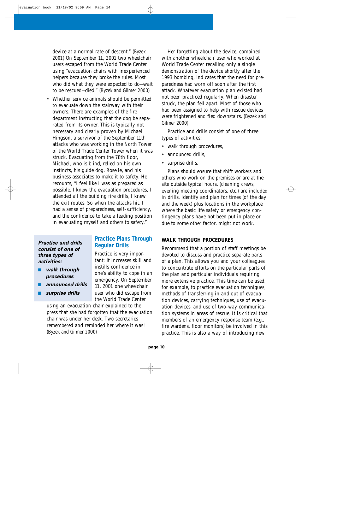device at a normal rate of descent." (Byzek 2001) On September 11, 2001 two wheelchair users escaped from the World Trade Center using "evacuation chairs with inexperienced helpers because they broke the rules. Most who did what they were expected to do—wait to be rescued—died." (Byzek and Gilmer 2000)

• Whether service animals should be permitted to evacuate down the stairway with their owners. There are examples of the fire department instructing that the dog be separated from its owner. This is typically not necessary and clearly proven by Michael Hingson, a survivor of the September 11th attacks who was working in the North Tower of the World Trade Center Tower when it was struck. Evacuating from the 78th floor, Michael, who is blind, relied on his own instincts, his guide dog, Roselle, and his business associates to make it to safety. He recounts, "I feel like I was as prepared as possible. I knew the evacuation procedures, I attended all the building fire drills, I knew the exit routes. So when the attacks hit, I had a sense of preparedness, self-sufficiency, and the confidence to take a leading position in evacuating myself and others to safety."

#### *Practice and drills consist of one of three types of activities:*

- *walk through procedures*
- *announced drills*
- *surprise drills*

#### **Practice Plans Through Regular Drills**

Practice is very important; it increases skill and instills confidence in one's ability to cope in an emergency. On September 11, 2001 one wheelchair user who did escape from the World Trade Center

using an evacuation chair explained to the press that she had forgotten that the evacuation chair was under her desk. Two secretaries remembered and reminded her where it was! (Byzek and Gilmer 2000)

Her forgetting about the device, combined with another wheelchair user who worked at World Trade Center recalling only a single demonstration of the device shortly after the 1993 bombing, indicates that the need for preparedness had worn off soon after the first attack. Whatever evacuation plan existed had not been practiced regularly. When disaster struck, the plan fell apart. Most of those who had been assigned to help with rescue devices were frightened and fled downstairs. (Byzek and Gilmer 2000)

Practice and drills consist of one of three types of activities:

- walk through procedures,
- announced drills,
- surprise drills.

Plans should ensure that shift workers and others who work on the premises or are at the site outside typical hours, (cleaning crews, evening meeting coordinators, etc.) are included in drills. Identify and plan for times (of the day and the week) plus locations in the workplace where the basic life safety or emergency contingency plans have not been put in place or due to some other factor, might not work.

#### **WALK THROUGH PROCEDURES**

Recommend that a portion of staff meetings be devoted to discuss and practice separate parts of a plan. This allows you and your colleagues to concentrate efforts on the particular parts of the plan and particular individuals requiring more extensive practice. This time can be used, for example, to practice evacuation techniques, methods of transferring in and out of evacuation devices, carrying techniques, use of evacuation devices, and use of two-way communication systems in areas of rescue. It is critical that members of an emergency response team (e.g., fire wardens, floor monitors) be involved in this practice. This is also a way of introducing new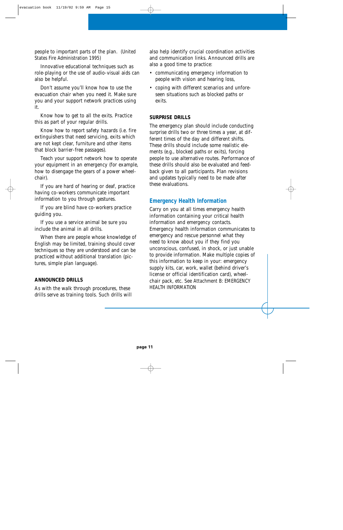people to important parts of the plan. (United States Fire Administration 1995)

Innovative educational techniques such as role-playing or the use of audio-visual aids can also be helpful.

Don't assume you'll know how to use the evacuation chair when you need it. Make sure you and your support network practices using it.

Know how to get to all the exits. Practice this as part of your regular drills.

Know how to report safety hazards (i.e. fire extinguishers that need servicing, exits which are not kept clear, furniture and other items that block barrier-free passages).

Teach your support network how to operate your equipment in an emergency (for example, how to disengage the gears of a power wheelchair).

If you are hard of hearing or deaf, practice having co-workers communicate important information to you through gestures.

If you are blind have co-workers practice guiding you.

If you use a service animal be sure you include the animal in all drills.

When there are people whose knowledge of English may be limited, training should cover techniques so they are understood and can be practiced without additional translation (pictures, simple plan language).

### **ANNOUNCED DRILLS**

As with the walk through procedures, these drills serve as training tools. Such drills will also help identify crucial coordination activities and communication links. Announced drills are also a good time to practice:

- communicating emergency information to people with vision and hearing loss,
- coping with different scenarios and unforeseen situations such as blocked paths or exits.

#### **SURPRISE DRILLS**

The emergency plan should include conducting surprise drills two or three times a year, at different times of the day and different shifts. These drills should include some realistic elements (e.g., blocked paths or exits), forcing people to use alternative routes. Performance of these drills should also be evaluated and feedback given to all participants. Plan revisions and updates typically need to be made after these evaluations.

### **Emergency Health Information**

Carry on you at all times emergency health information containing your critical health information and emergency contacts. Emergency health information communicates to emergency and rescue personnel what they need to know about you if they find you unconscious, confused, in shock, or just unable to provide information. Make multiple copies of this information to keep in your: emergency supply kits, car, work, wallet (behind driver's license or official identification card), wheelchair pack, etc. See Attachment B: EMERGENCY HEALTH INFORMATION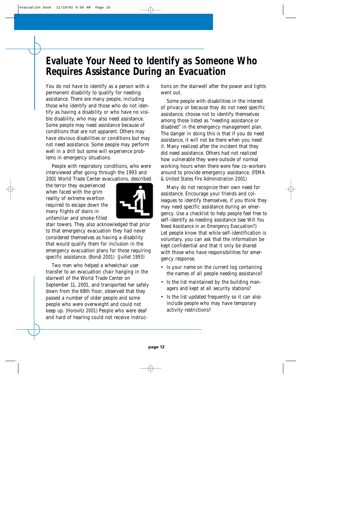## **Evaluate Your Need to Identify as Someone Who Requires Assistance During an Evacuation**

You do not have to identify as a person with a permanent disability to qualify for needing assistance. There are many people, including those who identify and those who do not identify as having a disability or who have no visible disability, who may also need assistance. Some people may need assistance because of conditions that are not apparent. Others may have obvious disabilities or conditions but may not need assistance. Some people may perform well in a drill but some will experience problems in emergency situations.

People with respiratory conditions, who were interviewed after going through the 1993 and 2001 World Trade Center evacuations, described

the terror they experienced when faced with the grim reality of extreme exertion required to escape down the many flights of stairs in unfamiliar and smoke-filled



stair towers. They also acknowledged that prior to that emergency evacuation they had never considered themselves as having a disability that would qualify them for inclusion in the emergency evacuation plans for those requiring specific assistance. (Bondi 2001) (Juillet 1993)

Two men who helped a wheelchair user transfer to an evacuation chair hanging in the stairwell of the World Trade Center on September 11, 2001, and transported her safely down from the 68th floor, observed that they passed a number of older people and some people who were overweight and could not keep up. (Horovitz 2001) People who were deaf and hard of hearing could not receive instructions on the stairwell after the power and lights went out.

Some people with disabilities in the interest of privacy or because they do not need specific assistance, choose not to identify themselves among those listed as "needing assistance or disabled" in the emergency management plan. The danger in doing this is that if you do need assistance, it will not be there when you need it. Many realized after the incident that they did need assistance. Others had not realized how vulnerable they were outside of normal working hours when there were few co-workers around to provide emergency assistance. (FEMA & United States Fire Administration 2001)

Many do not recognize their own need for assistance. Encourage your friends and colleagues to identify themselves, if you think they may need specific assistance during an emergency. Use a checklist to help people feel free to self-identify as needing assistance (see Will You Need Assistance in an Emergency Evacuation?) Let people know that while self-identification is voluntary, you can ask that the information be kept confidential and that it only be shared with those who have responsibilities for emergency response.

- Is your name on the current log containing the names of all people needing assistance?
- Is the list maintained by the building managers and kept at all security stations?
- Is the list updated frequently so it can also include people who may have temporary activity restrictions?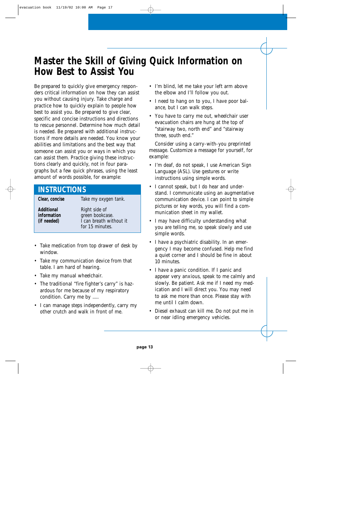## **Master the Skill of Giving Quick Information on How Best to Assist You**

Be prepared to quickly give emergency responders critical information on how they can assist you without causing injury. Take charge and practice how to quickly explain to people how best to assist you. Be prepared to give clear, specific and concise instructions and directions to rescue personnel. Determine how much detail is needed. Be prepared with additional instructions if more details are needed. You know your abilities and limitations and the best way that someone can assist you or ways in which you can assist them. Practice giving these instructions clearly and quickly, not in four paragraphs but a few quick phrases, using the least amount of words possible, for example:

### **INSTRUCTIONS**

| Clear, concise                           | Take my oxygen tank.                                                           |
|------------------------------------------|--------------------------------------------------------------------------------|
| Additional<br>information<br>(if needed) | Right side of<br>green bookcase.<br>I can breath without it<br>for 15 minutes. |

- Take medication from top drawer of desk by window.
- Take my communication device from that table. I am hard of hearing.
- Take my manual wheelchair.
- The traditional "fire fighter's carry" is hazardous for me because of my respiratory condition. Carry me by .....
- I can manage steps independently, carry my other crutch and walk in front of me.
- I'm blind, let me take your left arm above the elbow and I'll follow you out.
- I need to hang on to you, I have poor balance, but I can walk steps.
- You have to carry me out, wheelchair user evacuation chairs are hung at the top of "stairway two, north end" and "stairway three, south end."

Consider using a carry-with-you preprinted message. Customize a message for yourself, for example:

- I'm deaf, do not speak, I use American Sign Language (ASL). Use gestures or write instructions using simple words.
- I cannot speak, but I do hear and understand. I communicate using an augmentative communication device. I can point to simple pictures or key words, you will find a communication sheet in my wallet.
- I may have difficulty understanding what you are telling me, so speak slowly and use simple words.
- I have a psychiatric disability. In an emergency I may become confused. Help me find a quiet corner and I should be fine in about 10 minutes.
- I have a panic condition. If I panic and appear very anxious, speak to me calmly and slowly. Be patient. Ask me if I need my medication and I will direct you. You may need to ask me more than once. Please stay with me until I calm down.
- Diesel exhaust can kill me. Do not put me in or near idling emergency vehicles.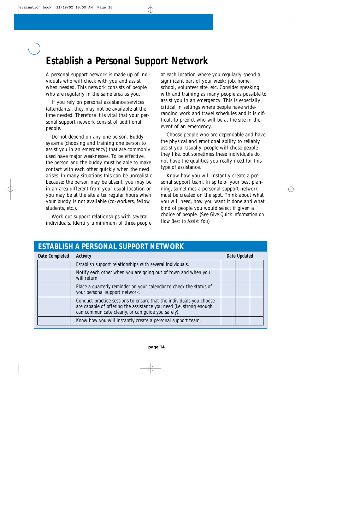## **Establish a Personal Support Network**

A personal support network is made up of individuals who will check with you and assist when needed. This network consists of people who are regularly in the same area as you.

If you rely on personal assistance services (attendants), they may not be available at the time needed. Therefore it is vital that your personal support network consist of additional people.

Do not depend on any one person. Buddy systems (choosing and training one person to assist you in an emergency) that are commonly used have major weaknesses. To be effective, the person and the buddy must be able to make contact with each other quickly when the need arises. In many situations this can be unrealistic because: the person may be absent, you may be in an area different from your usual location or you may be at the site after regular hours when your buddy is not available (co-workers, fellow students, etc.).

Work out support relationships with several individuals. Identify a minimum of three people

at each location where you regularly spend a significant part of your week: job, home, school, volunteer site, etc. Consider speaking with and training as many people as possible to assist you in an emergency. This is especially critical in settings where people have wideranging work and travel schedules and it is difficult to predict who will be at the site in the event of an emergency.

Choose people who are dependable and have the physical and emotional ability to reliably assist you. Usually, people will chose people they like, but sometimes these individuals do not have the qualities you really need for this type of assistance.

Know how you will instantly create a personal support team. In spite of your best planning, sometimes a personal support network must be created on the spot. Think about what you will need, how you want it done and what kind of people you would select if given a choice of people. (See Give Quick Information on How Best to Assist You)

| ESTABLISH A PERSONAL SUPPORT NETWORK |                                                                                                                                                                                                   |              |  |  |
|--------------------------------------|---------------------------------------------------------------------------------------------------------------------------------------------------------------------------------------------------|--------------|--|--|
| Date Completed                       | Activity                                                                                                                                                                                          | Date Updated |  |  |
|                                      | Establish support relationships with several individuals.                                                                                                                                         |              |  |  |
|                                      | Notify each other when you are going out of town and when you<br>will return.                                                                                                                     |              |  |  |
|                                      | Place a quarterly reminder on your calendar to check the status of<br>your personal support network.                                                                                              |              |  |  |
|                                      | Conduct practice sessions to ensure that the individuals you choose<br>are capable of offering the assistance you need (i.e. strong enough,<br>can communicate clearly, or can guide you safely). |              |  |  |
|                                      | Know how you will instantly create a personal support team.                                                                                                                                       |              |  |  |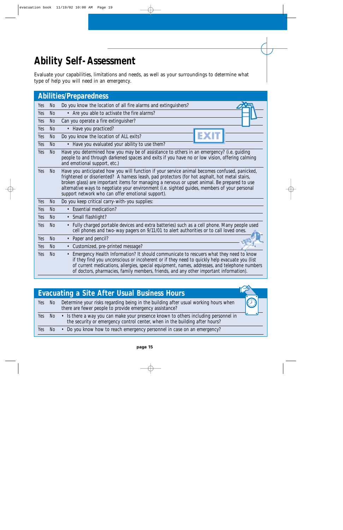## **Ability Self-Assessment**

Evaluate your capabilities, limitations and needs, as well as your surroundings to determine what type of help you will need in an emergency.

|     |                | <b>Abilities/Preparedness</b>                                                                                                                                                                                                                                                                                                                                                                                                                         |
|-----|----------------|-------------------------------------------------------------------------------------------------------------------------------------------------------------------------------------------------------------------------------------------------------------------------------------------------------------------------------------------------------------------------------------------------------------------------------------------------------|
| Yes | N <sub>o</sub> | Do you know the location of all fire alarms and extinguishers?                                                                                                                                                                                                                                                                                                                                                                                        |
| Yes | <b>No</b>      | • Are you able to activate the fire alarms?                                                                                                                                                                                                                                                                                                                                                                                                           |
| Yes | N <sub>o</sub> | Can you operate a fire extinguisher?                                                                                                                                                                                                                                                                                                                                                                                                                  |
| Yes | <b>No</b>      | • Have you practiced?                                                                                                                                                                                                                                                                                                                                                                                                                                 |
| Yes | <b>No</b>      | Do you know the location of ALL exits?                                                                                                                                                                                                                                                                                                                                                                                                                |
| Yes | <b>No</b>      | • Have you evaluated your ability to use them?                                                                                                                                                                                                                                                                                                                                                                                                        |
| Yes | <b>No</b>      | Have you determined how you may be of assistance to others in an emergency? (i.e. guiding<br>people to and through darkened spaces and exits if you have no or low vision, offering calming<br>and emotional support, etc.)                                                                                                                                                                                                                           |
| Yes | <b>No</b>      | Have you anticipated how you will function if your service animal becomes confused, panicked,<br>frightened or disoriented? A harness leash, pad protectors (for hot asphalt, hot metal stairs,<br>broken glass) are important items for managing a nervous or upset animal. Be prepared to use<br>alternative ways to negotiate your environment (i.e. sighted guides, members of your personal<br>support network who can offer emotional support). |
| Yes | <b>No</b>      | Do you keep critical carry-with-you supplies:                                                                                                                                                                                                                                                                                                                                                                                                         |
| Yes | <b>No</b>      | • Essential medication?                                                                                                                                                                                                                                                                                                                                                                                                                               |
| Yes | <b>No</b>      | • Small flashlight?                                                                                                                                                                                                                                                                                                                                                                                                                                   |
| Yes | <b>No</b>      | • Fully charged portable devices and extra batteries) such as a cell phone. Many people used<br>cell phones and two-way pagers on 9/11/01 to alert authorities or to call loved ones.                                                                                                                                                                                                                                                                 |
| Yes | <b>No</b>      | Paper and pencil?<br>$\bullet$                                                                                                                                                                                                                                                                                                                                                                                                                        |
| Yes | N <sub>0</sub> | Customized, pre-printed message?<br>$\bullet$                                                                                                                                                                                                                                                                                                                                                                                                         |
| Yes | <b>No</b>      | Emergency Health Information? It should communicate to rescuers what they need to know<br>$\bullet$<br>if they find you unconscious or incoherent or if they need to quickly help evacuate you (list<br>of current medications, allergies, special equipment, names, addresses, and telephone numbers<br>of doctors, pharmacies, family members, friends, and any other important information).                                                       |

|     |        | Evacuating a Site After Usual Business Hours                                                                                                                             |   |
|-----|--------|--------------------------------------------------------------------------------------------------------------------------------------------------------------------------|---|
|     | Yes No | Determine your risks regarding being in the building after usual working hours when<br>there are fewer people to provide emergency assistance?                           | O |
|     |        | Yes No • Is there a way you can make your presence known to others including personnel in<br>the security or emergency control center, when in the building after hours? |   |
| Yes | No     | • Do you know how to reach emergency personnel in case on an emergency?                                                                                                  |   |

∽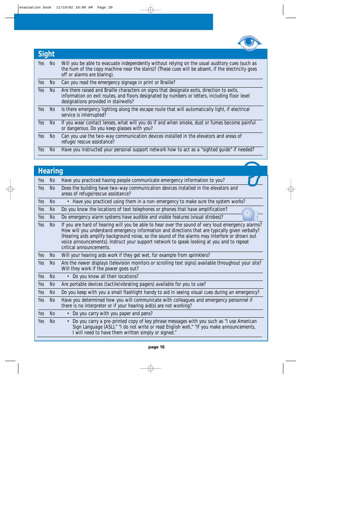

| Sight |     |                                                                                                                                                                                                                                      |  |  |
|-------|-----|--------------------------------------------------------------------------------------------------------------------------------------------------------------------------------------------------------------------------------------|--|--|
| Yes   | No  | Will you be able to evacuate independently without relying on the usual auditory cues (such as<br>the hum of the copy machine near the stairs)? (These cues will be absent, if the electricity goes<br>off or alarms are blaring).   |  |  |
| Yes   | No  | Can you read the emergency signage in print or Braille?                                                                                                                                                                              |  |  |
| Yes   | No  | Are there raised and Braille characters on signs that designate exits, direction to exits,<br>information on exit routes, and floors designated by numbers or letters, including floor level<br>designations provided in stairwells? |  |  |
| Yes   | No  | Is there emergency lighting along the escape route that will automatically light, if electrical<br>service is interrupted?                                                                                                           |  |  |
| Yes   | No  | If you wear contact lenses, what will you do if and when smoke, dust or fumes become painful<br>or dangerous. Do you keep glasses with you?                                                                                          |  |  |
| Yes   | No  | Can you use the two-way communication devices installed in the elevators and areas of<br>refuge/ rescue assistance?                                                                                                                  |  |  |
| Yes   | No. | Have you instructed your personal support network how to act as a "sighted guide" if needed?                                                                                                                                         |  |  |

## **Hearing**

| Yes | N <sub>o</sub> | Have you practiced having people communicate emergency information to you?                                                                                                                                                                                                                                                                                                                                                    |  |
|-----|----------------|-------------------------------------------------------------------------------------------------------------------------------------------------------------------------------------------------------------------------------------------------------------------------------------------------------------------------------------------------------------------------------------------------------------------------------|--|
| Yes | N <sub>o</sub> | Does the building have two-way communication devices installed in the elevators and<br>areas of refuge/rescue assistance?                                                                                                                                                                                                                                                                                                     |  |
| Yes | N <sub>o</sub> | • Have you practiced using them in a non-emergency to make sure the system works?                                                                                                                                                                                                                                                                                                                                             |  |
| Yes | N <sub>o</sub> | Do you know the locations of text telephones or phones that have amplification?                                                                                                                                                                                                                                                                                                                                               |  |
| Yes | <b>No</b>      | Do emergency alarm systems have audible and visible features (visual strobes)?                                                                                                                                                                                                                                                                                                                                                |  |
| Yes | N <sub>o</sub> | If you are hard of hearing will you be able to hear over the sound of very loud emergency alarms?<br>How will you understand emergency information and directions that are typically given verbally?<br>(Hearing aids amplify background noise, so the sound of the alarms may interfere or drown out<br>voice announcements). Instruct your support network to speak looking at you and to repeat<br>critical announcements. |  |
| Yes | No             | Will your hearing aids work if they get wet, for example from sprinklers?                                                                                                                                                                                                                                                                                                                                                     |  |
| Yes | <b>No</b>      | Are the newer displays (television monitors or scrolling text signs) available throughout your site?<br>Will they work if the power goes out?                                                                                                                                                                                                                                                                                 |  |
| Yes | N <sub>o</sub> | Do you know all their locations?<br>$\bullet$                                                                                                                                                                                                                                                                                                                                                                                 |  |
| Yes | N <sub>o</sub> | Are portable devices (tactile/vibrating pagers) available for you to use?                                                                                                                                                                                                                                                                                                                                                     |  |
| Yes | No.            | Do you keep with you a small flashlight handy to aid in seeing visual cues during an emergency?                                                                                                                                                                                                                                                                                                                               |  |
| Yes | <b>No</b>      | Have you determined how you will communicate with colleagues and emergency personnel if<br>there is no interpreter or if your hearing aid(s) are not working?                                                                                                                                                                                                                                                                 |  |
| Yes | <b>No</b>      | Do you carry with you paper and pens?<br>$\bullet$                                                                                                                                                                                                                                                                                                                                                                            |  |
| Yes | <b>No</b>      | Do you carry a pre-printed copy of key phrase messages with you such as "I use American<br>$\bullet$<br>Sign Language (ASL)," "I do not write or read English well," "If you make announcements,<br>I will need to have them written simply or signed."                                                                                                                                                                       |  |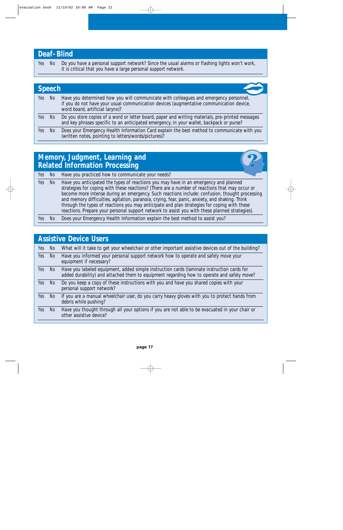### **Deaf-Blind**

Yes No Do you have a personal support network? Since the usual alarms or flashing lights won't work, it is critical that you have a large personal support network.

|     | <b>Speech</b> |                                                                                                                                                                                                                     |  |  |  |
|-----|---------------|---------------------------------------------------------------------------------------------------------------------------------------------------------------------------------------------------------------------|--|--|--|
| Yes | - No          | Have you determined how you will communicate with colleagues and emergency personnel,<br>if you do not have your usual communication devices (augmentative communication device,<br>word board, artificial larynx)? |  |  |  |
| Yes | No.           | Do you store copies of a word or letter board, paper and writing materials, pre-printed messages<br>and key phrases specific to an anticipated emergency, in your wallet, backpack or purse?                        |  |  |  |
| Yes | No.           | Does your Emergency Health Information Card explain the best method to communicate with you<br>(written notes, pointing to letters/words/pictures)?                                                                 |  |  |  |

### **Memory, Judgment, Learning and Related Information Processing**

|     |        | Yes No Have you practiced how to communicate your needs?                                                                                                                                                                                                                                                                                                                                                                                                                                                                                                                                    |
|-----|--------|---------------------------------------------------------------------------------------------------------------------------------------------------------------------------------------------------------------------------------------------------------------------------------------------------------------------------------------------------------------------------------------------------------------------------------------------------------------------------------------------------------------------------------------------------------------------------------------------|
|     | Yes No | Have you anticipated the types of reactions you may have in an emergency and planned<br>strategies for coping with these reactions? (There are a number of reactions that may occur or<br>become more intense during an emergency. Such reactions include: confusion, thought processing<br>and memory difficulties, agitation, paranoia, crying, fear, panic, anxiety, and shaking. Think<br>through the types of reactions you may anticipate and plan strategies for coping with these<br>reactions. Prepare your personal support network to assist you with these planned strategies). |
| Yes |        | Does your Emergency Health Information explain the best method to assist you?                                                                                                                                                                                                                                                                                                                                                                                                                                                                                                               |

| <b>Assistive Device Users</b> |     |                                                                                                                                                                                          |  |  |  |  |
|-------------------------------|-----|------------------------------------------------------------------------------------------------------------------------------------------------------------------------------------------|--|--|--|--|
| Yes                           | No. | What will it take to get your wheelchair or other important assistive devices out of the building?                                                                                       |  |  |  |  |
| Yes                           | No  | Have you informed your personal support network how to operate and safely move your<br>equipment if necessary?                                                                           |  |  |  |  |
| Yes                           | No. | Have you labeled equipment, added simple instruction cards (laminate instruction cards for<br>added durability) and attached them to equipment regarding how to operate and safely move? |  |  |  |  |
| Yes                           | No. | Do you keep a copy of these instructions with you and have you shared copies with your<br>personal support network?                                                                      |  |  |  |  |
| Yes                           | No. | If you are a manual wheelchair user, do you carry heavy gloves with you to protect hands from<br>debris while pushing?                                                                   |  |  |  |  |
| Yes                           | No. | Have you thought through all your options if you are not able to be evacuated in your chair or<br>other assistive device?                                                                |  |  |  |  |
|                               |     |                                                                                                                                                                                          |  |  |  |  |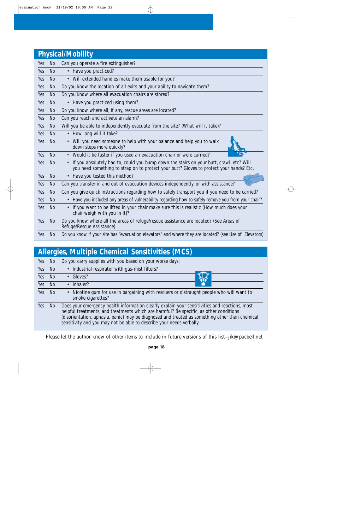|     |                | <b>Physical/Mobility</b>                                                                                                                                                                        |  |  |  |
|-----|----------------|-------------------------------------------------------------------------------------------------------------------------------------------------------------------------------------------------|--|--|--|
| Yes | N <sub>0</sub> | Can you operate a fire extinguisher?                                                                                                                                                            |  |  |  |
| Yes | <b>No</b>      | • Have you practiced?                                                                                                                                                                           |  |  |  |
| Yes | <b>No</b>      | • Will extended handles make them usable for you?                                                                                                                                               |  |  |  |
| Yes | N <sub>o</sub> | Do you know the location of all exits and your ability to navigate them?                                                                                                                        |  |  |  |
| Yes | N <sub>o</sub> | Do you know where all evacuation chairs are stored?                                                                                                                                             |  |  |  |
| Yes | <b>No</b>      | • Have you practiced using them?                                                                                                                                                                |  |  |  |
| Yes | N <sub>o</sub> | Do you know where all, if any, rescue areas are located?                                                                                                                                        |  |  |  |
| Yes | N <sub>o</sub> | Can you reach and activate an alarm?                                                                                                                                                            |  |  |  |
| Yes | <b>No</b>      | Will you be able to independently evacuate from the site? (What will it take)?                                                                                                                  |  |  |  |
| Yes | <b>No</b>      | How long will it take?<br>$\bullet$                                                                                                                                                             |  |  |  |
| Yes | <b>No</b>      | Will you need someone to help with your balance and help you to walk<br>$\bullet$<br>down steps more quickly?                                                                                   |  |  |  |
| Yes | <b>No</b>      | • Would it be faster if you used an evacuation chair or were carried?                                                                                                                           |  |  |  |
| Yes | <b>No</b>      | If you absolutely had to, could you bump down the stairs on your butt, crawl, etc? Will<br>$\bullet$<br>you need something to strap on to protect your butt? Gloves to protect your hands? Etc. |  |  |  |
| Yes | <b>No</b>      | • Have you tested this method?                                                                                                                                                                  |  |  |  |
| Yes | <b>No</b>      | Can you transfer in and out of evacuation devices independently, or with assistance?                                                                                                            |  |  |  |
| Yes | <b>No</b>      | Can you give quick instructions regarding how to safely transport you if you need to be carried?                                                                                                |  |  |  |
| Yes | <b>No</b>      | Have you included any areas of vulnerability regarding how to safely remove you from your chair?<br>$\bullet$                                                                                   |  |  |  |
| Yes | <b>No</b>      | If you want to be lifted in your chair make sure this is realistic (How much does your<br>$\bullet$<br>chair weigh with you in it)?                                                             |  |  |  |
| Yes | <b>No</b>      | Do you know where all the areas of refuge/rescue assistance are located? (See Areas of<br>Refuge/Rescue Assistance)                                                                             |  |  |  |
| Yes | N <sub>o</sub> | Do you know if your site has "evacuation elevators" and where they are located? (see Use of Elevators)                                                                                          |  |  |  |

### **Allergies, Multiple Chemical Sensitivities (MCS)** Yes No Do you carry supplies with you based on your worse days: Yes No • Industrial respirator with gas-mist filters? Yes No • Gloves? Yes No • Inhaler? Yes No • Nicotine gum for use in bargaining with rescuers or distraught people who will want to smoke cigarettes? Yes No Does your emergency health information clearly explain your sensitivities and reactions, most helpful treatments, and treatments which are harmful? Be specific, as other conditions (disorientation, aphasia, panic) may be diagnosed and treated as something other than chemical sensitivity and you may not be able to describe your needs verbally.

Please let the author know of other items to include in future versions of this list—jik@pacbell.net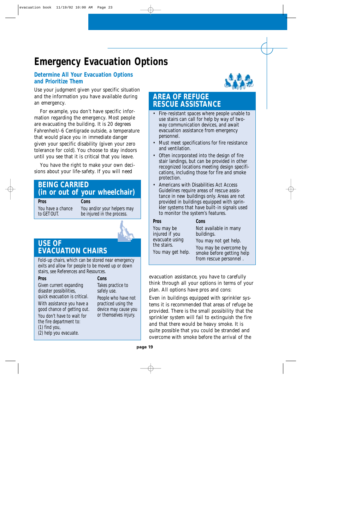## **Emergency Evacuation Options**

### **Determine All Your Evacuation Options and Prioritize Them**

Use your judgment given your specific situation and the information you have available during an emergency.

For example, you don't have specific information regarding the emergency. Most people are evacuating the building. It is 20 degrees Fahrenheit/-6 Centigrade outside, a temperature that would place you in immediate danger given your specific disability (given your zero tolerance for cold). You choose to stay indoors until you see that it is critical that you leave.

You have the right to make your own decisions about your life-safety. If you will need

### **BEING CARRIED (in or out of your wheelchair)**

**Pros Cons**

You have a chance You and/or your helpers may to GET OUT. be injured in the process.



### **USE OF EVACUATION CHAIRS**

Fold-up chairs, which can be stored near emergency exits and allow for people to be moved up or down stairs, see References and Resources.

#### **Pros**

Given current expanding disaster possibilities, quick evacuation is critical.

With assistance you have a good chance of getting out.

You don't have to wait for the fire department to: (1) find you, (2) help you evacuate.

### **Cons**

Takes practice to safely use. People who have not practiced using the device may cause you or themselves injury.



### **AREA OF REFUGE RESCUE ASSISTANCE**

- Fire-resistant spaces where people unable to use stairs can call for help by way of twoway communication devices, and await evacuation assistance from emergency personnel.
- Must meet specifications for fire resistance and ventilation.
- Often incorporated into the design of fire stair landings, but can be provided in other recognized locations meeting design specifications, including those for fire and smoke protection.
- Americans with Disabilities Act Access Guidelines require areas of rescue assistance in new buildings only. Areas are not provided in buildings equipped with sprinkler systems that have built-in signals used to monitor the system's features.

| Pros              | Cons   |
|-------------------|--------|
| You may be        | Not a  |
| injured if you    | buildi |
| evacuate using    | You m  |
| the stairs.       | You m  |
| You may get help. | smoke  |
|                   | from 1 |

vailable in many ngs. hay not get help. hay be overcome by e before getting help from rescue personnel .

evacuation assistance, you have to carefully think through all your options in terms of your plan. All options have pros and cons:

Even in buildings equipped with sprinkler systems it is recommended that areas of refuge be provided. There is the small possibility that the sprinkler system will fail to extinguish the fire and that there would be heavy smoke. It is quite possible that you could be stranded and overcome with smoke before the arrival of the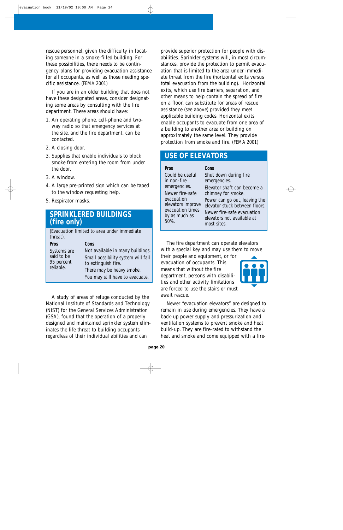rescue personnel, given the difficulty in locating someone in a smoke-filled building. For these possibilities, there needs to be contingency plans for providing evacuation assistance for all occupants, as well as those needing specific assistance. (FEMA 2001)

If you are in an older building that does not have these designated areas, consider designating some areas by consulting with the fire department. These areas should have:

- 1. An operating phone, cell-phone and twoway radio so that emergency services at the site, and the fire department, can be contacted.
- 2. A closing door.
- 3. Supplies that enable individuals to block smoke from entering the room from under the door.
- 3. A window.
- 4. A large pre-printed sign which can be taped to the window requesting help.
- 5. Respirator masks.

### **SPRINKLERED BUILDINGS (fire only)**

(Evacuation limited to area under immediate threat).

| <b>Pros</b> | Cons                               |
|-------------|------------------------------------|
| Systems are | Not available in many buildings.   |
| said to be  | Small possibility system will fail |
| 95 percent  | to extinguish fire.                |
| reliable.   | There may be heavy smoke.          |
|             | You may still have to evacuate.    |

A study of areas of refuge conducted by the National Institute of Standards and Technology (NIST) for the General Services Administration (GSA), found that the operation of a properly designed and maintained sprinkler system eliminates the life threat to building occupants regardless of their individual abilities and can

provide superior protection for people with disabilities. Sprinkler systems will, in most circumstances, provide the protection to permit evacuation that is limited to the area under immediate threat from the fire (horizontal exits versus total evacuation from the building). Horizontal exits, which use fire barriers, separation, and other means to help contain the spread of fire on a floor, can substitute for areas of rescue assistance (see above) provided they meet applicable building codes. Horizontal exits enable occupants to evacuate from one area of a building to another area or building on approximately the same level. They provide protection from smoke and fire. (FEMA 2001)

### **USE OF ELEVATORS**

| Pros                            | Cons                                                            |
|---------------------------------|-----------------------------------------------------------------|
| Could be useful                 | Shut down during fire                                           |
| in non-fire                     | emergencies.                                                    |
| emergencies.                    | Elevator shaft can become a                                     |
| Newer fire-safe                 | chimney for smoke.                                              |
| evacuation<br>elevators improve | Power can go out, leaving the<br>elevator stuck between floors. |
| evacuation times                | Newer fire-safe evacuation                                      |
| by as much as<br>50%.           | elevators not available at                                      |
|                                 | most sites.                                                     |

The fire department can operate elevators with a special key and may use them to move

their people and equipment, or for evacuation of occupants. This means that without the fire department, persons with disabilities and other activity limitations are forced to use the stairs or must await rescue.



Newer "evacuation elevators" are designed to remain in use during emergencies. They have a back-up power supply and pressurization and ventilation systems to prevent smoke and heat build-up. They are fire-rated to withstand the heat and smoke and come equipped with a fire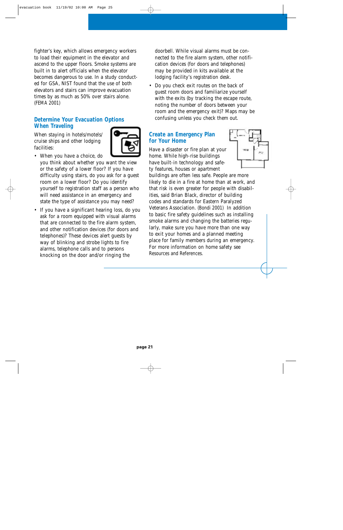fighter's key, which allows emergency workers to load their equipment in the elevator and ascend to the upper floors. Smoke systems are built in to alert officials when the elevator becomes dangerous to use. In a study conducted for GSA, NIST found that the use of both elevators and stairs can improve evacuation times by as much as 50% over stairs alone. (FEMA 2001)

### **Determine Your Evacuation Options When Traveling**

When staying in hotels/motels/ cruise ships and other lodging facilities:



- When you have a choice, do you think about whether you want the view or the safety of a lower floor? If you have difficulty using stairs, do you ask for a guest room on a lower floor? Do you identify yourself to registration staff as a person who will need assistance in an emergency and state the type of assistance you may need?
- If you have a significant hearing loss, do you ask for a room equipped with visual alarms that are connected to the fire alarm system, and other notification devices (for doors and telephones)? These devices alert guests by way of blinking and strobe lights to fire alarms, telephone calls and to persons knocking on the door and/or ringing the

doorbell. While visual alarms must be connected to the fire alarm system, other notification devices (for doors and telephones) may be provided in kits available at the lodging facility's registration desk.

• Do you check exit routes on the back of guest room doors and familiarize yourself with the exits (by tracking the escape route, noting the number of doors between your room and the emergency exit)? Maps may be confusing unless you check them out.

### **Create an Emergency Plan for Your Home**

Have a disaster or fire plan at your home. While high-rise buildings have built-in technology and safety features, houses or apartment

buildings are often less safe. People are more likely to die in a fire at home than at work, and that risk is even greater for people with disabilities, said Brian Black, director of building codes and standards for Eastern Paralyzed Veterans Association. (Bondi 2001) In addition to basic fire safety guidelines such as installing smoke alarms and changing the batteries regularly, make sure you have more than one way to exit your homes and a planned meeting place for family members during an emergency. For more information on home safety see Resources and References.

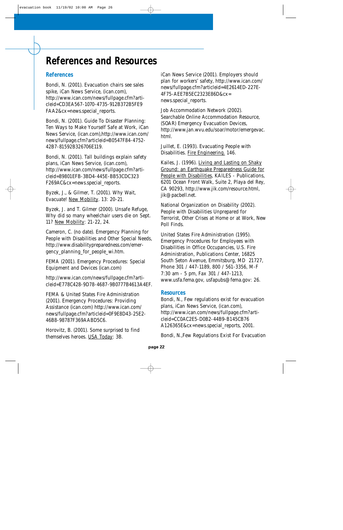## **References and Resources**

### **References**

Bondi, N. (2001). Evacuation chairs see sales spike, iCan News Service, (ican.com), http://www.ican.com/news/fullpage.cfm?articleid=CD3EA567-1070-4735-912B372B5FE9 FAA2&cx=news.special\_reports.

Bondi, N. (2001). Guide To Disaster Planning: Ten Ways to Make Yourself Safe at Work, iCan News Service, (ican.com),http://www.ican.com/ news/fullpage.cfm?articleid=B0547F84-4752- 42B7-81592B326706E119.

Bondi, N. (2001). Tall buildings explain safety plans, iCan News Service, (ican.com), http://www.ican.com/news/fullpage.cfm?articleid=89801EFB-3BD4-445E-BB53CDC323 F269AC&cx=news.special\_reports.

Byzek, J., & Gilmer, T. (2001). Why Wait, Evacuate! New Mobility. 13: 20-21.

Byzek, J. and T. Gilmer (2000). Unsafe Refuge, Why did so many wheelchair users die on Sept. 11? New Mobility: 21-22, 24.

Cameron, C. (no date). Emergency Planning for People with Disabilities and Other Special Needs, http://www.disabilitypreparedness.com/emergency\_planning\_for\_people\_wi.htm.

FEMA (2001). Emergency Procedures: Special Equipment and Devices (ican.com)

http://www.ican.com/news/fullpage.cfm?articleid=E778C428-9D78-4687-9B0777B4613A4EF.

FEMA & United States Fire Administration (2001). Emergency Procedures: Providing Assistance (ican.com) http://www.ican.com/ news/fullpage.cfm?articleid=0F9E8D43-25E2- 46B8-98787F369AABD5C6.

Horovitz, B. (2001). Some surprised to find themselves heroes. USA Today: 3B.

iCan News Service (2001). Employers should plan for workers' safety, http://www.ican.com/ news/fullpage.cfm?articleid=4E2614ED-227E-4F75-AEE7B5EC2323E86D&cx= news.special\_reports.

Job Accommodation Network (2002). Searchable Online Accommodation Resource, (SOAR) Emergency Evacuation Devices, http://www.jan.wvu.edu/soar/motor/emergevac. html.

Juillet, E. (1993). Evacuating People with Disabilities. Fire Engineering. 146.

Kailes, J. (1996). Living and Lasting on Shaky Ground: an Earthquake Preparedness Guide for People with Disabilities, KAILES - Publications, 6201 Ocean Front Walk, Suite 2, Playa del Rey, CA 90293, http://www.jik.com/resource.html, jik@pacbell.net.

National Organization on Disability (2002). People with Disabilities Unprepared for Terrorist, Other Crises at Home or at Work, New Poll Finds.

United States Fire Administration (1995). Emergency Procedures for Employees with Disabilities in Office Occupancies, U.S. Fire Administration, Publications Center, 16825 South Seton Avenue, Emmitsburg, MD 21727, Phone 301 / 447-1189, 800 / 561-3356, M-F 7:30 am - 5 pm, Fax 301 / 447-1213, www.usfa.fema.gov, usfapubs@fema.gov: 26.

### **Resources**

Bondi, N., Few regulations exist for evacuation plans, iCan News Service, (ican.com), http://www.ican.com/news/fullpage.cfm?articleid=CC0AC2E5-D0B2-44B9-B145CB76 A126365E&cx=news.special\_reports, 2001.

Bondi, N.,Few Regulations Exist For Evacuation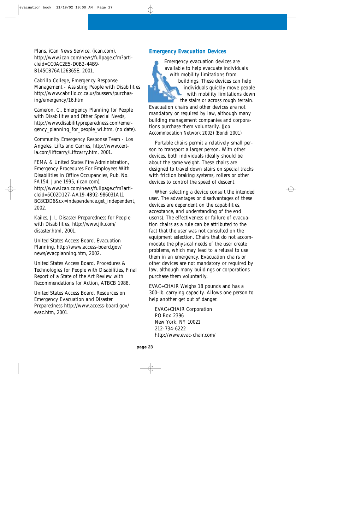Plans, iCan News Service, (ican.com), http://www.ican.com/news/fullpage.cfm?articleid=CC0AC2E5-D0B2-44B9- B145CB76A126365E, 2001.

Cabrillo College, Emergency Response Management - Assisting People with Disabilities http://www.cabrillo.cc.ca.us/busserv/purchasing/emergency/16.htm

Cameron, C., Emergency Planning for People with Disabilities and Other Special Needs, http://www.disabilitypreparedness.com/emergency planning for people wi.htm, (no date).

Community Emergency Response Team - Los Angeles, Lifts and Carries, http://www.certla.com/liftcarry/Liftcarry.htm, 2001.

FEMA & United States Fire Administration, Emergency Procedures For Employees With Disabilities In Office Occupancies, Pub. No. FA154, June 1995, (ican.com), http://www.ican.com/news/fullpage.cfm?articleid=5C02D127-AA19-4B92-986031A11 BC8CDD6&cx=independence.get\_independent, 2002.

Kailes, J.I., Disaster Preparedness for People with Disabilities, http://www.jik.com/ disaster.html, 2001.

United States Access Board, Evacuation Planning, http://www.access-board.gov/ news/evacplanning.htm, 2002.

United States Access Board, Procedures & Technologies for People with Disabilities, Final Report of a State of the Art Review with Recommendations for Action, ATBCB 1988.

United States Access Board, Resources on Emergency Evacuation and Disaster Preparedness http://www.access-board.gov/ evac.htm, 2001.

### **Emergency Evacuation Devices**

Emergency evacuation devices are available to help evacuate individuals with mobility limitations from buildings. These devices can help individuals quickly move people with mobility limitations down the stairs or across rough terrain. Evacuation chairs and other devices are not mandatory or required by law, although many building management companies and corporations purchase them voluntarily. (Job Accommodation Network 2002) (Bondi 2001)

Portable chairs permit a relatively small person to transport a larger person. With other devices, both individuals ideally should be about the same weight. These chairs are designed to travel down stairs on special tracks with friction braking systems, rollers or other devices to control the speed of descent.

When selecting a device consult the intended user. The advantages or disadvantages of these devices are dependent on the capabilities, acceptance, and understanding of the end user(s). The effectiveness or failure of evacuation chairs as a rule can be attributed to the fact that the user was not consulted on the equipment selection. Chairs that do not accommodate the physical needs of the user create problems, which may lead to a refusal to use them in an emergency. Evacuation chairs or other devices are not mandatory or required by law, although many buildings or corporations purchase them voluntarily.

EVAC+CHAIR Weighs 18 pounds and has a 300-lb. carrying capacity. Allows one person to help another get out of danger.

EVAC+CHAIR Corporation PO Box 2396 New York, NY 10021 212-734-6222 http://www.evac-chair.com/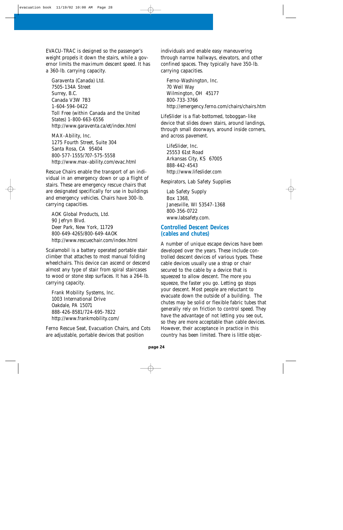EVACU-TRAC is designed so the passenger's weight propels it down the stairs, while a governor limits the maximum descent speed. It has a 360-lb. carrying capacity.

Garaventa (Canada) Ltd. 7505-134A Street Surrey, B.C. Canada V3W 7B3 1-604-594-0422 Toll Free (within Canada and the United States) 1-800-663-6556 http://www.garaventa.ca/et/index.html

MAX-Ability, Inc. 1275 Fourth Street, Suite 304 Santa Rosa, CA 95404 800-577-1555/707-575-5558 http://www.max-ability.com/evac.html

Rescue Chairs enable the transport of an individual in an emergency down or up a flight of stairs. These are emergency rescue chairs that are designated specifically for use in buildings and emergency vehicles. Chairs have 300-lb. carrying capacities.

AOK Global Products, Ltd. 90 Jefryn Blvd. Deer Park, New York, 11729 800-649-4265/800-649-4AOK http://www.rescuechair.com/index.html

Scalamobil is a battery operated portable stair climber that attaches to most manual folding wheelchairs. This device can ascend or descend almost any type of stair from spiral staircases to wood or stone step surfaces. It has a 264-lb. carrying capacity.

Frank Mobility Systems, Inc. 1003 International Drive Oakdale, PA 15071 888-426-8581/724-695-7822 http://www.frankmobility.com/

Ferno Rescue Seat, Evacuation Chairs, and Cots are adjustable, portable devices that position

individuals and enable easy maneuvering through narrow hallways, elevators, and other confined spaces. They typically have 350-lb. carrying capacities.

Ferno-Washington, Inc. 70 Weil Way Wilmington, OH 45177 800-733-3766 http://emergency.ferno.com/chairs/chairs.htm

LifeSlider is a flat-bottomed, toboggan-like device that slides down stairs, around landings, through small doorways, around inside corners, and across pavement.

LifeSlider, Inc. 25553 61st Road Arkansas City, KS 67005 888-442-4543 http://www.lifeslider.com

Respirators, Lab Safety Supplies

Lab Safety Supply Box 1368, Janesville, WI 53547-1368 800-356-0722 www.labsafety.com.

### **Controlled Descent Devices (cables and chutes)**

A number of unique escape devices have been developed over the years. These include controlled descent devices of various types. These cable devices usually use a strap or chair secured to the cable by a device that is squeezed to allow descent. The more you squeeze, the faster you go. Letting go stops your descent. Most people are reluctant to evacuate down the outside of a building. The chutes may be solid or flexible fabric tubes that generally rely on friction to control speed. They have the advantage of not letting you see out, so they are more acceptable than cable devices. However, their acceptance in practice in this country has been limited. There is little objec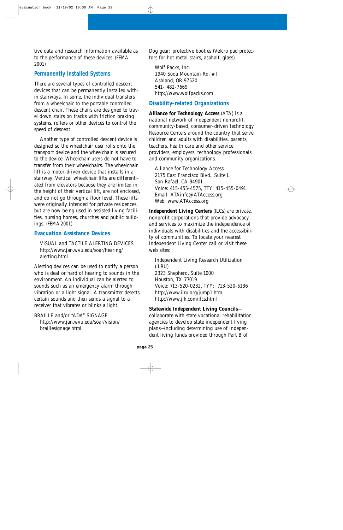tive data and research information available as to the performance of these devices. (FEMA 2001)

### **Permanently Installed Systems**

There are several types of controlled descent devices that can be permanently installed within stairways. In some, the individual transfers from a wheelchair to the portable controlled descent chair. These chairs are designed to travel down stairs on tracks with friction braking systems, rollers or other devices to control the speed of descent.

Another type of controlled descent device is designed so the wheelchair user rolls onto the transport device and the wheelchair is secured to the device. Wheelchair users do not have to transfer from their wheelchairs. The wheelchair lift is a motor-driven device that installs in a stairway. Vertical wheelchair lifts are differentiated from elevators because they are limited in the height of their vertical lift, are not enclosed, and do not go through a floor level. These lifts were originally intended for private residences, but are now being used in assisted living facilities, nursing homes, churches and public buildings. (FEMA 2001)

### **Evacuation Assistance Devices**

VISUAL and TACTILE ALERTING DEVICES http://www.jan.wvu.edu/soar/hearing/ alerting.html

Alerting devices can be used to notify a person who is deaf or hard of hearing to sounds in the environment. An individual can be alerted to sounds such as an emergency alarm through vibration or a light signal. A transmitter detects certain sounds and then sends a signal to a receiver that vibrates or blinks a light.

BRAILLE and/or "ADA" SIGNAGE http://www.jan.wvu.edu/soar/vision/ braillesignage.html

Dog gear: protective booties (Velcro pad protectors for hot metal stairs, asphalt, glass)

Wolf Packs, Inc. 1940 Soda Mountain Rd. # I Ashland, OR 97520 541- 482-7669 http://www.wolfpacks.com

### **Disability-related Organizations**

**Alliance for Technology Access** (ATA) is a national network of Independent nonprofit, community-based, consumer-driven technology Resource Centers around the country that serve children and adults with disabilities, parents, teachers, health care and other service providers, employers, technology professionals and community organizations.

Alliance for Technology Access 2175 East Francisco Blvd., Suite L San Rafael, CA 94901 Voice: 415-455-4575, TTY: 415-455-0491 Email: ATAinfo@ATAccess.org Web: www.ATAccess.org

**Independent Living Centers** (ILCs) are private, nonprofit corporations that provide advocacy and services to maximize the independence of individuals with disabilities and the accessibility of communities. To locate your nearest Independent Living Center call or visit these web sites:

Independent Living Research Utilization (ILRU) 2323 Shepherd, Suite 1000 Houston, TX 77019 Voice: 713-520-0232, TYY:: 713-520-5136 http://www.ilru.org/jump1.htm http://www.jik.com/ilcs.html

### **Statewide Independent Living Councils** collaborate with state vocational rehabilitation agencies to develop state independent living plans—including determining use of independent living funds provided through Part B of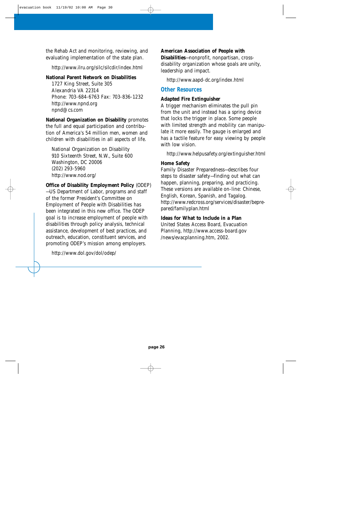the Rehab Act and monitoring, reviewing, and evaluating implementation of the state plan.

http://www.ilru.org/silc/silcdir/index.html

#### **National Parent Network on Disabilities**

1727 King Street, Suite 305 Alexandria VA 22314 Phone: 703-684-6763 Fax: 703-836-1232 http://www.npnd.org npnd@cs.com

**National Organization on Disability** promotes the full and equal participation and contribution of America's 54 million men, women and children with disabilities in all aspects of life.

National Organization on Disability 910 Sixteenth Street, N.W., Suite 600 Washington, DC 20006 (202) 293-5960 http://www.nod.org/

**Office of Disability Employment Policy** (ODEP) —US Department of Labor, programs and staff of the former President's Committee on Employment of People with Disabilities has been integrated in this new office. The ODEP goal is to increase employment of people with disabilities through policy analysis, technical assistance, development of best practices, and outreach, education, constituent services, and promoting ODEP's mission among employers.

http://www.dol.gov/dol/odep/

**American Association of People with Disabilities**—nonprofit, nonpartisan, crossdisability organization whose goals are unity, leadership and impact.

http://www.aapd-dc.org/index.html

### **Other Resources**

#### **Adapted Fire Extinguisher**

A trigger mechanism eliminates the pull pin from the unit and instead has a spring device that locks the trigger in place. Some people with limited strength and mobility can manipulate it more easily. The gauge is enlarged and has a tactile feature for easy viewing by people with low vision.

http://www.helpusafety.org/extinguisher.html

#### **Home Safety**

Family Disaster Preparedness—describes four steps to disaster safety—finding out what can happen, planning, preparing, and practicing. These versions are available on-line: Chinese, English, Korean, Spanish, and Tagalog. http://www.redcross.org/services/disaster/beprepared/familyplan.html

**Ideas for What to Include in a Plan** United States Access Board, Evacuation Planning, http://www.access-board.gov /news/evacplanning.htm, 2002.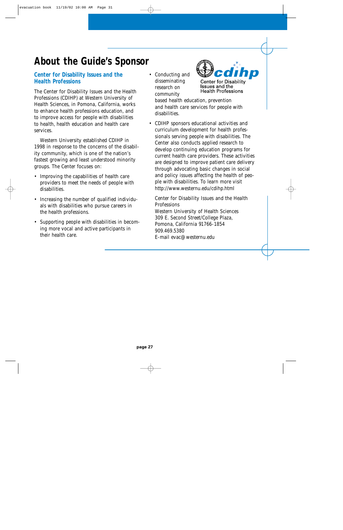## **About the Guide's Sponsor**

### **Center for Disability Issues and the Health Professions**

The Center for Disability Issues and the Health Professions (CDIHP) at Western University of Health Sciences, in Pomona, California, works to enhance health professions education, and to improve access for people with disabilities to health, health education and health care services.

Western University established CDIHP in 1998 in response to the concerns of the disability community, which is one of the nation's fastest growing and least understood minority groups. The Center focuses on:

- Improving the capabilities of health care providers to meet the needs of people with disabilities.
- Increasing the number of qualified individuals with disabilities who pursue careers in the health professions.
- Supporting people with disabilities in becoming more vocal and active participants in their health care.

• Conducting and disseminating research on community

hp **Center for Disability Issues and the Health Professions** 

based health education, prevention and health care services for people with disabilities.

• CDIHP sponsors educational activities and curriculum development for health professionals serving people with disabilities. The Center also conducts applied research to develop continuing education programs for current health care providers. These activities are designed to improve patient care delivery through advocating basic changes in social and policy issues affecting the health of people with disabilities. To learn more visit http://www.westernu.edu/cdihp.html

Center for Disability Issues and the Health **Professions** Western University of Health Sciences 309 E. Second Street/College Plaza, Pomona, California 91766-1854 909.469.5380 E-mail evac@westernu.edu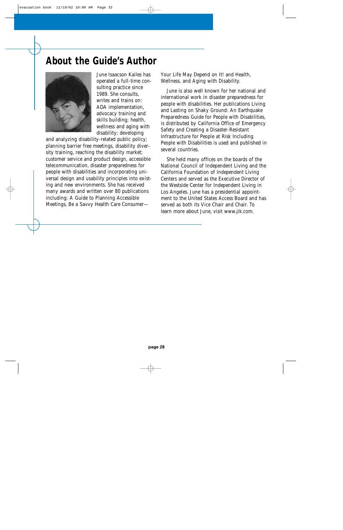## **About the Guide's Author**



June Isaacson Kailes has operated a full-time consulting practice since 1989. She consults, writes and trains on: ADA implementation, advocacy training and skills building; health, wellness and aging with disability; developing

and analyzing disability-related public policy; planning barrier free meetings, disability diversity training, reaching the disability market; customer service and product design, accessible telecommunication, disaster preparedness for people with disabilities and incorporating universal design and usability principles into existing and new environments. She has received many awards and written over 80 publications including: A Guide to Planning Accessible Meetings, Be a Savvy Health Care ConsumerYour Life May Depend on It! and Health, Wellness, and Aging with Disability.

June is also well known for her national and international work in disaster preparedness for people with disabilities. Her publications Living and Lasting on Shaky Ground: An Earthquake Preparedness Guide for People with Disabilities, is distributed by California Office of Emergency Safety and Creating a Disaster-Resistant Infrastructure for People at Risk Including People with Disabilities is used and published in several countries.

She held many offices on the boards of the National Council of Independent Living and the California Foundation of Independent Living Centers and served as the Executive Director of the Westside Center for Independent Living in Los Angeles. June has a presidential appointment to the United States Access Board and has served as both its Vice Chair and Chair. To learn more about June, visit www.jik.com.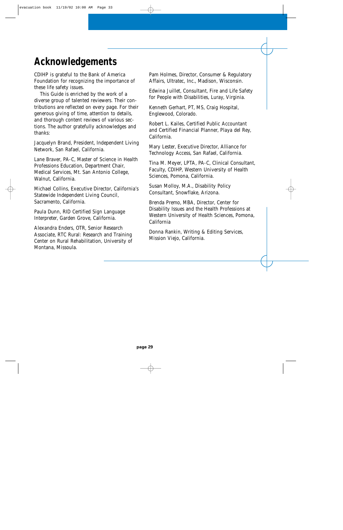## **Acknowledgements**

CDIHP is grateful to the Bank of America Foundation for recognizing the importance of these life safety issues.

This Guide is enriched by the work of a diverse group of talented reviewers. Their contributions are reflected on every page. For their generous giving of time, attention to details, and thorough content reviews of various sections. The author gratefully acknowledges and thanks:

Jacquelyn Brand, President, Independent Living Network, San Rafael, California.

Lane Braver, PA-C, Master of Science in Health Professions Education, Department Chair, Medical Services, Mt. San Antonio College, Walnut, California.

Michael Collins, Executive Director, California's Statewide Independent Living Council, Sacramento, California.

Paula Dunn, RID Certified Sign Language Interpreter, Garden Grove, California.

Alexandra Enders, OTR, Senior Research Associate, RTC Rural: Research and Training Center on Rural Rehabilitation, University of Montana, Missoula.

Pam Holmes, Director, Consumer & Regulatory Affairs, Ultratec, Inc., Madison, Wisconsin.

Edwina Juillet, Consultant, Fire and Life Safety for People with Disabilities, Luray, Virginia.

Kenneth Gerhart, PT, MS, Craig Hospital, Englewood, Colorado.

Robert L. Kailes, Certified Public Accountant and Certified Financial Planner, Playa del Rey, California.

Mary Lester, Executive Director, Alliance for Technology Access, San Rafael, California.

Tina M. Meyer, LPTA, PA-C, Clinical Consultant, Faculty, CDIHP, Western University of Health Sciences, Pomona, California.

Susan Molloy, M.A., Disability Policy Consultant, Snowflake, Arizona.

Brenda Premo, MBA, Director, Center for Disability Issues and the Health Professions at Western University of Health Sciences, Pomona, California

Donna Rankin, Writing & Editing Services, Mission Viejo, California.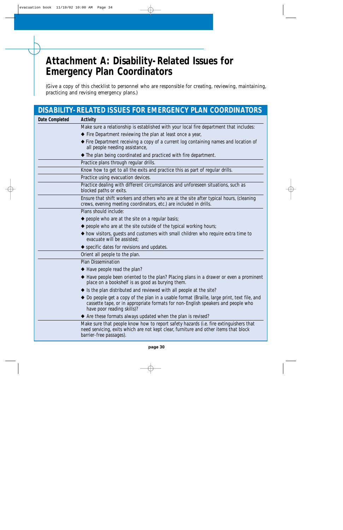## **Attachment A: Disability-Related Issues for Emergency Plan Coordinators**

(Give a copy of this checklist to personnel who are responsible for creating, reviewing, maintaining, practicing and revising emergency plans.)

|                | DISABILITY-RELATED ISSUES FOR EMERGENCY PLAN COORDINATORS                                                                                                                                                     |
|----------------|---------------------------------------------------------------------------------------------------------------------------------------------------------------------------------------------------------------|
| Date Completed | Activity                                                                                                                                                                                                      |
|                | Make sure a relationship is established with your local fire department that includes:                                                                                                                        |
|                | ◆ Fire Department reviewing the plan at least once a year,                                                                                                                                                    |
|                | ◆ Fire Department receiving a copy of a current log containing names and location of<br>all people needing assistance,                                                                                        |
|                | ◆ The plan being coordinated and practiced with fire department.                                                                                                                                              |
|                | Practice plans through regular drills.                                                                                                                                                                        |
|                | Know how to get to all the exits and practice this as part of regular drills.                                                                                                                                 |
|                | Practice using evacuation devices.                                                                                                                                                                            |
|                | Practice dealing with different circumstances and unforeseen situations, such as<br>blocked paths or exits.                                                                                                   |
|                | Ensure that shift workers and others who are at the site after typical hours, (cleaning<br>crews, evening meeting coordinators, etc.) are included in drills.                                                 |
|                | Plans should include:                                                                                                                                                                                         |
|                | $\blacklozenge$ people who are at the site on a regular basis;                                                                                                                                                |
|                | $\blacklozenge$ people who are at the site outside of the typical working hours;                                                                                                                              |
|                | ◆ how visitors, guests and customers with small children who require extra time to<br>evacuate will be assisted;                                                                                              |
|                | ◆ specific dates for revisions and updates.                                                                                                                                                                   |
|                | Orient all people to the plan.                                                                                                                                                                                |
|                | <b>Plan Dissemination</b>                                                                                                                                                                                     |
|                | ◆ Have people read the plan?                                                                                                                                                                                  |
|                | ◆ Have people been oriented to the plan? Placing plans in a drawer or even a prominent<br>place on a bookshelf is as good as burying them.                                                                    |
|                | ♦ Is the plan distributed and reviewed with all people at the site?                                                                                                                                           |
|                | ◆ Do people get a copy of the plan in a usable format (Braille, large print, text file, and<br>cassette tape, or in appropriate formats for non-English speakers and people who<br>have poor reading skills)? |
|                | ◆ Are these formats always updated when the plan is revised?                                                                                                                                                  |
|                | Make sure that people know how to report safety hazards (i.e. fire extinguishers that<br>need servicing, exits which are not kept clear, furniture and other items that block<br>barrier-free passages).      |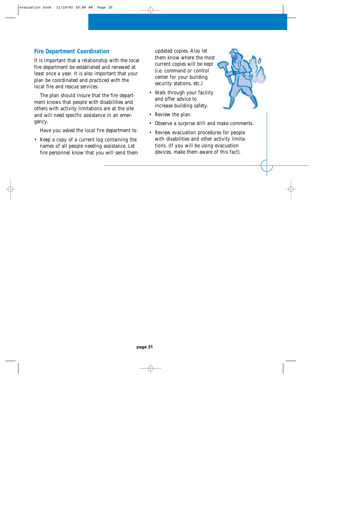### **Fire Department Coordination**

It is important that a relationship with the local fire department be established and renewed at least once a year. It is also important that your plan be coordinated and practiced with the local fire and rescue services.

The plan should insure that the fire department knows that people with disabilities and others with activity limitations are at the site and will need specific assistance in an emergency.

Have you asked the local fire department to:

• Keep a copy of a current log containing the names of all people needing assistance. Let fire personnel know that you will send them updated copies. Also let them know where the most current copies will be kept (i.e. command or control center for your building security stations, etc.)

- Walk through your facility and offer advice to increase building safety.
- Review the plan.
- Observe a surprise drill and make comments.
- Review evacuation procedures for people with disabilities and other activity limitations. (If you will be using evacuation devices, make them aware of this fact).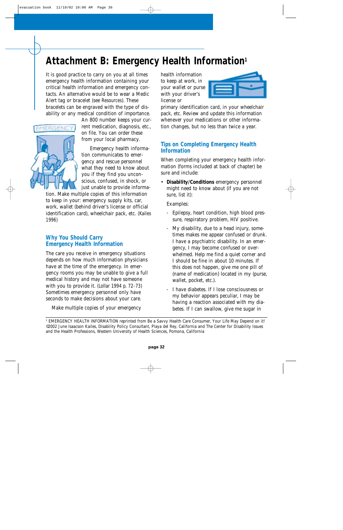## **Attachment B: Emergency Health Information1**

It is good practice to carry on you at all times emergency health information containing your critical health information and emergency contacts. An alternative would be to wear a Medic Alert tag or bracelet (see Resources). These bracelets can be engraved with the type of disability or any medical condition of importance.



An 800 number keeps your current medication, diagnosis, etc., on file. You can order these from your local pharmacy.

Emergency health information communicates to emergency and rescue personnel what they need to know about you if they find you unconscious, confused, in shock, or just unable to provide informa-

tion. Make multiple copies of this information to keep in your: emergency supply kits, car, work, wallet (behind driver's license or official identification card), wheelchair pack, etc. (Kailes 1996)

### **Why You Should Carry Emergency Health Information**

The care you receive in emergency situations depends on how much information physicians have at the time of the emergency. In emergency rooms you may be unable to give a full medical history and may not have someone with you to provide it. (Lollar 1994 p. 72-73) Sometimes emergency personnel only have seconds to make decisions about your care.

Make multiple copies of your emergency

health information to keep at work, in your wallet or purse with your driver's license or



primary identification card, in your wheelchair pack, etc. Review and update this information whenever your medications or other information changes, but no less than twice a year.

### **Tips on Completing Emergency Health Information**

When completing your emergency health information (forms included at back of chapter) be sure and include:

• **Disability/Conditions** emergency personnel might need to know about (if you are not sure, list it):

Examples:

- Epilepsy, heart condition, high blood pressure, respiratory problem, HIV positive.
- My disability, due to a head injury, sometimes makes me appear confused or drunk. I have a psychiatric disability. In an emergency, I may become confused or overwhelmed. Help me find a quiet corner and I should be fine in about 10 minutes. If this does not happen, give me one pill of (name of medication) located in my (purse, wallet, pocket, etc.).
- I have diabetes. If I lose consciousness or my behavior appears peculiar, I may be having a reaction associated with my diabetes. If I can swallow, give me sugar in

<sup>1</sup> EMERGENCY HEALTH INFORMATION reprinted from Be a Savvy Health Care Consumer, Your Life May Depend on it! ©2002 June Isaacson Kailes, Disability Policy Consultant, Playa del Rey, California and The Center for Disability Issues and the Health Professions, Western University of Health Sciences, Pomona, California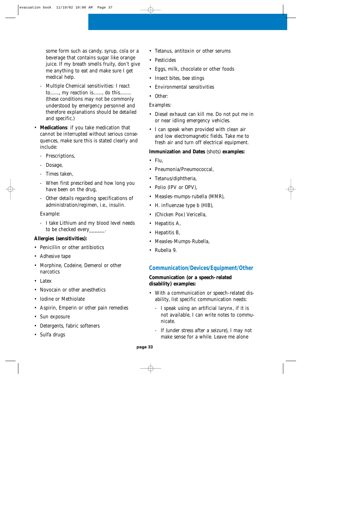some form such as candy, syrup, cola or a beverage that contains sugar like orange juice. If my breath smells fruity, don't give me anything to eat and make sure I get medical help.

- Multiple Chemical sensitivities: I react to......., my reaction is......., do this......... (these conditions may not be commonly understood by emergency personnel and therefore explanations should be detailed and specific.)
- **Medications**: if you take medication that cannot be interrupted without serious consequences, make sure this is stated clearly and include:
	- Prescriptions,
	- Dosage,
	- Times taken,
	- When first prescribed and how long you have been on the drug,
	- Other details regarding specifications of administration/regimen, i.e., insulin.

#### Example:

- I take Lithium and my blood level needs to be checked every\_\_\_\_\_\_.

### **Allergies (sensitivities):**

- Penicillin or other antibiotics
- Adhesive tape
- Morphine, Codeine, Demerol or other narcotics
- Latex
- Novocain or other anesthetics
- Iodine or Methiolate
- Aspirin, Emperin or other pain remedies
- Sun exposure
- Detergents, fabric softeners
- Sulfa drugs
- Tetanus, antitoxin or other serums
- Pesticides
- Eggs, milk, chocolate or other foods
- Insect bites, bee stings
- Environmental sensitivities
- Other:

### Examples:

- Diesel exhaust can kill me. Do not put me in or near idling emergency vehicles.
- I can speak when provided with clean air and low electromagnetic fields. Take me to fresh air and turn off electrical equipment.

### **Immunization and Dates** (shots) **examples:**

- $\bullet$  Flu.
- Pneumonia/Pneumococcal,
- Tetanus/diphtheria,
- Polio (IPV or OPV),
- Measles-mumps-rubella (MMR),
- H. influenzae type b (HIB),
- (Chicken Pox) Vericella,
- Hepatitis A,
- Hepatitis B,
- Measles-Mumps-Rubella,
- Rubella 9.

### **Communication/Devices/Equipment/Other**

### **Communication (or a speech-related disability) examples:**

- With a communication or speech-related disability, list specific communication needs:
	- I speak using an artificial larynx, if it is not available, I can write notes to communicate.
	- If (under stress after a seizure), I may not make sense for a while. Leave me alone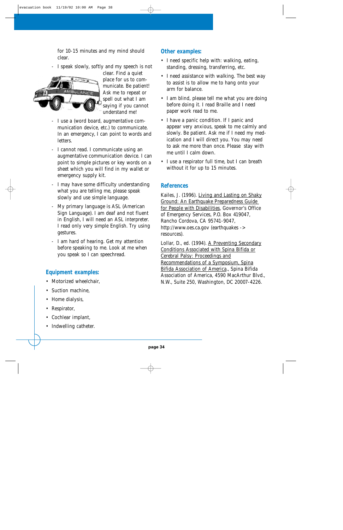for 10-15 minutes and my mind should clear.

- I speak slowly, softly and my speech is not



clear. Find a quiet place for us to communicate. Be patient! Ask me to repeat or spell out what I am saying if you cannot understand me!

- I use a (word board, augmentative communication device, etc.) to communicate. In an emergency, I can point to words and letters.
- I cannot read. I communicate using an augmentative communication device. I can point to simple pictures or key words on a sheet which you will find in my wallet or emergency supply kit.
- I may have some difficulty understanding what you are telling me, please speak slowly and use simple language.
- My primary language is ASL (American Sign Language). I am deaf and not fluent in English, I will need an ASL interpreter. I read only very simple English. Try using gestures.
- I am hard of hearing. Get my attention before speaking to me. Look at me when you speak so I can speechread.

### **Equipment examples:**

- Motorized wheelchair,
- Suction machine,
- Home dialysis,
- Respirator,
- Cochlear implant,
- Indwelling catheter.

### **Other examples:**

- I need specific help with: walking, eating, standing, dressing, transferring, etc.
- I need assistance with walking. The best way to assist is to allow me to hang onto your arm for balance.
- I am blind, please tell me what you are doing before doing it. I read Braille and I need paper work read to me.
- I have a panic condition. If I panic and appear very anxious, speak to me calmly and slowly. Be patient. Ask me if I need my medication and I will direct you. You may need to ask me more than once. Please stay with me until I calm down.
- I use a respirator full time, but I can breath without it for up to 15 minutes.

### **References**

Kailes, J. (1996). Living and Lasting on Shaky Ground: An Earthquake Preparedness Guide for People with Disabilities, Governor's Office of Emergency Services, P.O. Box 419047, Rancho Cordova, CA 95741-9047, http://www.oes.ca.gov (earthquakes -> resources).

Lollar, D., ed. (1994). A Preventing Secondary Conditions Associated with Spina Bifida or Cerebral Palsy: Proceedings and Recommendations of a Symposium, Spina Bifida Association of America., Spina Bifida Association of America, 4590 MacArthur Blvd., N.W., Suite 250, Washington, DC 20007-4226.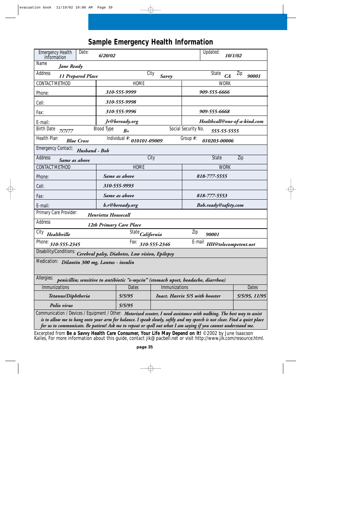### **Sample Emergency Health Information**

| Date:<br><b>Emergency Health</b><br>Information                                                                                                                                                                                                                                                                                                                     |                            | Updated:                       | 10/1/02                      |                                |               |  |
|---------------------------------------------------------------------------------------------------------------------------------------------------------------------------------------------------------------------------------------------------------------------------------------------------------------------------------------------------------------------|----------------------------|--------------------------------|------------------------------|--------------------------------|---------------|--|
| Name<br><b>Jane Ready</b>                                                                                                                                                                                                                                                                                                                                           |                            |                                |                              |                                |               |  |
| Address<br><b>11 Prepared Place</b>                                                                                                                                                                                                                                                                                                                                 | City                       | Savvy                          | State                        | Zip<br>CA                      | 90001         |  |
| CONTACT METHOD                                                                                                                                                                                                                                                                                                                                                      | <b>HOME</b>                |                                |                              | <b>WORK</b>                    |               |  |
| Phone:                                                                                                                                                                                                                                                                                                                                                              | 310-555-9999               |                                | 909-555-6666                 |                                |               |  |
| Cell:                                                                                                                                                                                                                                                                                                                                                               | 310-555-9998               |                                |                              |                                |               |  |
| Fax:                                                                                                                                                                                                                                                                                                                                                                | 310-555-9996               |                                | 909-555-6668                 |                                |               |  |
| E-mail:                                                                                                                                                                                                                                                                                                                                                             | Jr@beready.org             |                                | Healthcall@one-of-a-kind.com |                                |               |  |
| <b>Birth Date</b><br>7/7/77                                                                                                                                                                                                                                                                                                                                         | <b>Blood Type</b><br>$B+$  | Social Security No.            |                              | 555-55-5555                    |               |  |
| Health Plan<br><b>Blue Cross</b>                                                                                                                                                                                                                                                                                                                                    | Individual #: 010101-09009 | Group #:                       | 010203-00006                 |                                |               |  |
| <b>Emergency Contact:</b><br>Husband - Bob                                                                                                                                                                                                                                                                                                                          |                            |                                |                              |                                |               |  |
| Address<br>Same as above                                                                                                                                                                                                                                                                                                                                            | City                       |                                | <b>State</b>                 |                                | Zip           |  |
| CONTACT METHOD                                                                                                                                                                                                                                                                                                                                                      | <b>HOME</b>                |                                |                              | <b>WORK</b>                    |               |  |
| Phone:                                                                                                                                                                                                                                                                                                                                                              | Same as above              |                                | 818-777-5555                 |                                |               |  |
| Cell:                                                                                                                                                                                                                                                                                                                                                               | 310-555-9993               |                                |                              |                                |               |  |
| Fax:                                                                                                                                                                                                                                                                                                                                                                | Same as above              |                                | 818-777-5553                 |                                |               |  |
| E-mail:                                                                                                                                                                                                                                                                                                                                                             | b.r@beready.org            |                                | <b>Bob.ready@safety.com</b>  |                                |               |  |
| Primary Care Provider:                                                                                                                                                                                                                                                                                                                                              | Henrietta Housecall        |                                |                              |                                |               |  |
| <b>Address</b>                                                                                                                                                                                                                                                                                                                                                      | 12th Primary Care Place    |                                |                              |                                |               |  |
| City<br>Healthville                                                                                                                                                                                                                                                                                                                                                 | State California           | Zip                            | 90001                        |                                |               |  |
| Phone:<br>310-555-2345                                                                                                                                                                                                                                                                                                                                              | Fax:                       | 310-555-2346                   |                              | E-mail<br>HH@telecompetent.net |               |  |
| Disability/Conditions: Cerebral palsy, Diabetes, Low vision, Epilepsy                                                                                                                                                                                                                                                                                               |                            |                                |                              |                                |               |  |
| Medication: <i>Dilantin 300 mg, Lantus - insulin</i>                                                                                                                                                                                                                                                                                                                |                            |                                |                              |                                |               |  |
| Allergies:<br>penicillin; sensitive to antibiotic "e-mycin" (stomach upset, headache, diarrhea)                                                                                                                                                                                                                                                                     |                            |                                |                              |                                |               |  |
| <b>Immunizations</b>                                                                                                                                                                                                                                                                                                                                                | Dates                      | Immunizations                  |                              |                                | Dates         |  |
| Tetanus/Diphtheria                                                                                                                                                                                                                                                                                                                                                  | 5/5/95                     | Inact. Havrix 5/5 with booster |                              |                                | 5/5/95, 11/95 |  |
| Polio virus                                                                                                                                                                                                                                                                                                                                                         | 5/5/95                     |                                |                              |                                |               |  |
| Communication / Devices / Equipment / Other: Motorized scooter, I need assistance with walking. The best way to assist<br>is to allow me to hang onto your arm for balance. I speak slowly, softly and my speech is not clear. Find a quiet place<br>for us to communicate. Be patient! Ask me to repeat or spell out what I am saying if you cannot understand me. |                            |                                |                              |                                |               |  |

Excerpted from **Be a Savvy Health Care Consumer, Your Life May Depend on It!** © 2002 by June Isaacson Kailes, For more information about this guide, contact jik@pacbell.net or visit http://www.jik.com/resource.html.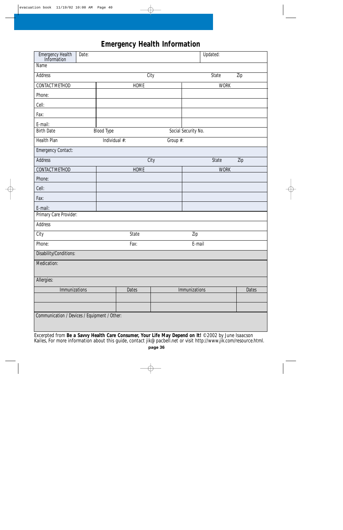### **Emergency Health Information**

| Emergency Health<br>Information<br>Date:     |                           | Updated:               |  |  |  |
|----------------------------------------------|---------------------------|------------------------|--|--|--|
| <b>Name</b>                                  |                           |                        |  |  |  |
| <b>Address</b>                               | City                      | <b>State</b><br>Zip    |  |  |  |
| CONTACT METHOD                               | HOME                      | <b>WORK</b>            |  |  |  |
| Phone:                                       |                           |                        |  |  |  |
| Cell:                                        |                           |                        |  |  |  |
| Fax:                                         |                           |                        |  |  |  |
| E-mail:                                      |                           |                        |  |  |  |
| <b>Birth Date</b>                            | <b>Blood Type</b>         | Social Security No.    |  |  |  |
| <b>Health Plan</b>                           | Individual #:<br>Group #: |                        |  |  |  |
| Emergency Contact:                           |                           |                        |  |  |  |
| Address                                      | City                      | State<br>Zip           |  |  |  |
| CONTACT METHOD                               | <b>HOME</b>               | <b>WORK</b>            |  |  |  |
| Phone:                                       |                           |                        |  |  |  |
| Cell:                                        |                           |                        |  |  |  |
| Fax:                                         |                           |                        |  |  |  |
| E-mail:                                      |                           |                        |  |  |  |
| Primary Care Provider:                       |                           |                        |  |  |  |
| <b>Address</b>                               |                           |                        |  |  |  |
| City                                         | State                     | Zip                    |  |  |  |
| Phone:                                       | Fax:                      | E-mail                 |  |  |  |
| Disability/Conditions:                       |                           |                        |  |  |  |
| Medication:                                  |                           |                        |  |  |  |
|                                              |                           |                        |  |  |  |
| Allergies:                                   |                           |                        |  |  |  |
| Immunizations                                | Dates                     | Immunizations<br>Dates |  |  |  |
|                                              |                           |                        |  |  |  |
|                                              |                           |                        |  |  |  |
| Communication / Devices / Equipment / Other: |                           |                        |  |  |  |

Excerpted from **Be a Savvy Health Care Consumer, Your Life May Depend on It!** © 2002 by June Isaacson Kailes, For more information about this guide, contact jik@pacbell.net or visit http://www.jik.com/resource.html.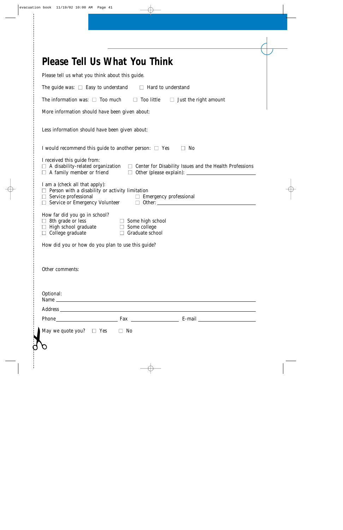|                                                                                                                                                                  | Please Tell Us What You Think                                                                                                                                                                                                  |  |
|------------------------------------------------------------------------------------------------------------------------------------------------------------------|--------------------------------------------------------------------------------------------------------------------------------------------------------------------------------------------------------------------------------|--|
| Please tell us what you think about this guide.                                                                                                                  |                                                                                                                                                                                                                                |  |
| The guide was: $\Box$ Easy to understand                                                                                                                         | Hard to understand<br>$\Box$                                                                                                                                                                                                   |  |
| The information was: $\Box$ Too much                                                                                                                             | Too little<br>Just the right amount<br>$\Box$                                                                                                                                                                                  |  |
| More information should have been given about:                                                                                                                   |                                                                                                                                                                                                                                |  |
| Less information should have been given about:                                                                                                                   |                                                                                                                                                                                                                                |  |
|                                                                                                                                                                  | I would recommend this guide to another person: $\Box$ Yes<br>No                                                                                                                                                               |  |
| I received this guide from:<br>$\Box$ A family member or friend                                                                                                  | $\Box$ A disability-related organization $\Box$ Center for Disability Issues and the Health Professions<br>$\Box$ Other (please explain): $\Box$                                                                               |  |
| I am a (check all that apply):<br>$\Box$ Person with a disability or activity limitation<br>$\Box$ Service professional<br>$\Box$ Service or Emergency Volunteer | $\Box$ Emergency professional                                                                                                                                                                                                  |  |
| How far did you go in school?<br>$\Box$ 8th grade or less<br>$\Box$ High school graduate<br>College graduate                                                     | Some high school<br>$\Box$<br>Some college<br>$\Box$<br>Graduate school                                                                                                                                                        |  |
|                                                                                                                                                                  | How did you or how do you plan to use this guide?                                                                                                                                                                              |  |
| Other comments:                                                                                                                                                  |                                                                                                                                                                                                                                |  |
| Optional:                                                                                                                                                        |                                                                                                                                                                                                                                |  |
|                                                                                                                                                                  |                                                                                                                                                                                                                                |  |
|                                                                                                                                                                  | Phone Fax E-mail E-mail E-mail E-mail E-mail E-mail E-mail E-mail E-mail E-mail E-mail E-mail E-mail E-mail E-mail E-mail E-mail E-mail E-mail E-mail E-mail E-mail E-mail E-mail E-mail E-mail E-mail E-mail E-mail E-mail E- |  |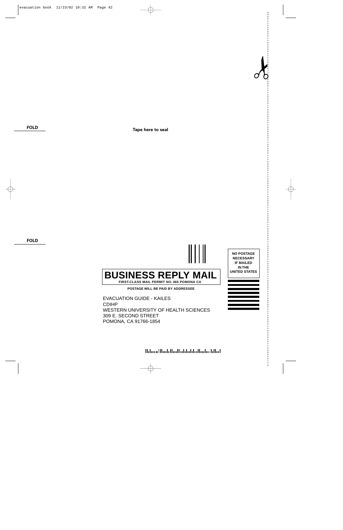$\lambda$ 

**FOLD**

**Tape here to seal**

**FOLD**



**POMONA CA 91766-1854** 309 E. SECOND STREET POMONA, CA 91766-1854

Halanallhah Haallah lah lah di lah dilad